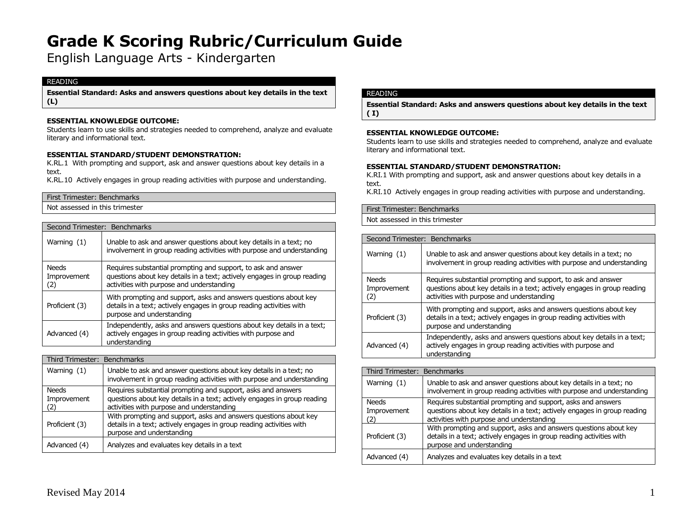English Language Arts - Kindergarten

# READING

**Essential Standard: Asks and answers questions about key details in the text (L)**

# **ESSENTIAL KNOWLEDGE OUTCOME:**

Students learn to use skills and strategies needed to comprehend, analyze and evaluate literary and informational text.

#### **ESSENTIAL STANDARD/STUDENT DEMONSTRATION:**

K.RL.1 With prompting and support, ask and answer questions about key details in a text.

K.RL.10 Actively engages in group reading activities with purpose and understanding.

| First Trimester: Benchmarks    |
|--------------------------------|
| Not assessed in this trimester |
|                                |

| Second Trimester: Benchmarks       |                                                                                                                                                                                        |
|------------------------------------|----------------------------------------------------------------------------------------------------------------------------------------------------------------------------------------|
| Warning (1)                        | Unable to ask and answer questions about key details in a text; no<br>involvement in group reading activities with purpose and understanding                                           |
| <b>Needs</b><br>Improvement<br>(2) | Requires substantial prompting and support, to ask and answer<br>questions about key details in a text; actively engages in group reading<br>activities with purpose and understanding |
| Proficient (3)                     | With prompting and support, asks and answers questions about key<br>details in a text; actively engages in group reading activities with<br>purpose and understanding                  |
| Advanced (4)                       | Independently, asks and answers questions about key details in a text;<br>actively engages in group reading activities with purpose and<br>understanding                               |

| Third Trimester: Benchmarks        |                                                                                                                                                                                       |
|------------------------------------|---------------------------------------------------------------------------------------------------------------------------------------------------------------------------------------|
| Warning $(1)$                      | Unable to ask and answer questions about key details in a text; no<br>involvement in group reading activities with purpose and understanding                                          |
| <b>Needs</b><br>Improvement<br>(2) | Requires substantial prompting and support, asks and answers<br>questions about key details in a text; actively engages in group reading<br>activities with purpose and understanding |
| Proficient (3)                     | With prompting and support, asks and answers questions about key<br>details in a text; actively engages in group reading activities with<br>purpose and understanding                 |
| Advanced (4)                       | Analyzes and evaluates key details in a text                                                                                                                                          |

# READING

**Essential Standard: Asks and answers questions about key details in the text ( I)**

#### **ESSENTIAL KNOWLEDGE OUTCOME:**

Students learn to use skills and strategies needed to comprehend, analyze and evaluate literary and informational text.

#### **ESSENTIAL STANDARD/STUDENT DEMONSTRATION:**

K.RI.1 With prompting and support, ask and answer questions about key details in a text.

K.RI.10 Actively engages in group reading activities with purpose and understanding.

| First Trimester: Benchmarks    |  |
|--------------------------------|--|
| Not assessed in this trimester |  |

| Second Trimester: Benchmarks      |                                                                                                                                                                                        |
|-----------------------------------|----------------------------------------------------------------------------------------------------------------------------------------------------------------------------------------|
| Warning $(1)$                     | Unable to ask and answer questions about key details in a text; no<br>involvement in group reading activities with purpose and understanding                                           |
| <b>Needs</b><br>Improvement<br>2) | Requires substantial prompting and support, to ask and answer<br>questions about key details in a text; actively engages in group reading<br>activities with purpose and understanding |
| Proficient (3)                    | With prompting and support, asks and answers questions about key<br>details in a text; actively engages in group reading activities with<br>purpose and understanding                  |
| Advanced (4)                      | Independently, asks and answers questions about key details in a text;<br>actively engages in group reading activities with purpose and<br>understanding                               |

| Third Trimester: Benchmarks |                                                                                                                                                                                       |
|-----------------------------|---------------------------------------------------------------------------------------------------------------------------------------------------------------------------------------|
| Warning $(1)$               | Unable to ask and answer questions about key details in a text; no<br>involvement in group reading activities with purpose and understanding                                          |
| Needs<br>Improvement<br>(2) | Requires substantial prompting and support, asks and answers<br>questions about key details in a text; actively engages in group reading<br>activities with purpose and understanding |
| Proficient (3)              | With prompting and support, asks and answers questions about key<br>details in a text; actively engages in group reading activities with<br>purpose and understanding                 |
| Advanced (4)                | Analyzes and evaluates key details in a text                                                                                                                                          |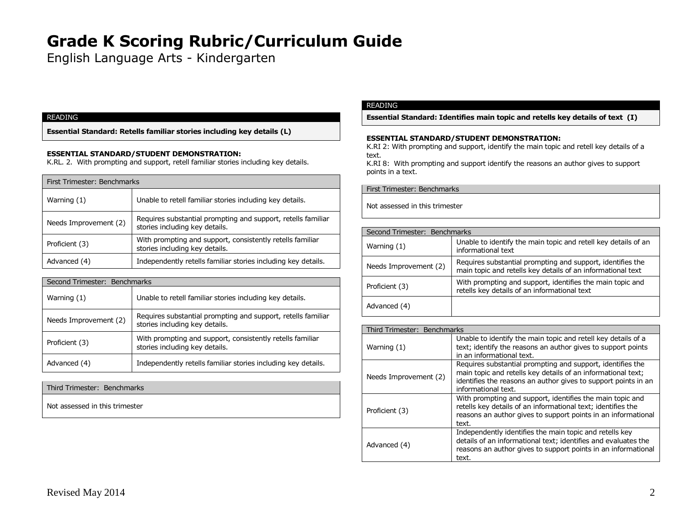English Language Arts - Kindergarten

# READING

**Essential Standard: Retells familiar stories including key details (L)**

# **ESSENTIAL STANDARD/STUDENT DEMONSTRATION:**

K.RL. 2. With prompting and support, retell familiar stories including key details.

| First Trimester: Benchmarks |                                                                                                |
|-----------------------------|------------------------------------------------------------------------------------------------|
| Warning $(1)$               | Unable to retell familiar stories including key details.                                       |
| Needs Improvement (2)       | Requires substantial prompting and support, retells familiar<br>stories including key details. |
| Proficient (3)              | With prompting and support, consistently retells familiar<br>stories including key details.    |
| Advanced (4)                | Independently retells familiar stories including key details.                                  |

| Second Trimester: Benchmarks |                                                                                                |  |
|------------------------------|------------------------------------------------------------------------------------------------|--|
| Warning $(1)$                | Unable to retell familiar stories including key details.                                       |  |
| Needs Improvement (2)        | Requires substantial prompting and support, retells familiar<br>stories including key details. |  |
| Proficient (3)               | With prompting and support, consistently retells familiar<br>stories including key details.    |  |
| Advanced (4)                 | Independently retells familiar stories including key details.                                  |  |

Third Trimester: Benchmarks

Not assessed in this trimester

# READING

**Essential Standard: Identifies main topic and retells key details of text (I)**

#### **ESSENTIAL STANDARD/STUDENT DEMONSTRATION:**

K.RI 2: With prompting and support, identify the main topic and retell key details of a text.

K.RI 8: With prompting and support identify the reasons an author gives to support points in a text.

First Trimester: Benchmarks

| Second Trimester: Benchmarks |                                                                                                                           |
|------------------------------|---------------------------------------------------------------------------------------------------------------------------|
| Warning $(1)$                | Unable to identify the main topic and retell key details of an<br>informational text                                      |
| Needs Improvement (2)        | Requires substantial prompting and support, identifies the<br>main topic and retells key details of an informational text |
| Proficient (3)               | With prompting and support, identifies the main topic and<br>retells key details of an informational text                 |
| Advanced (4)                 |                                                                                                                           |

| Third Trimester: Benchmarks |                                                                                                                                                                                                                     |
|-----------------------------|---------------------------------------------------------------------------------------------------------------------------------------------------------------------------------------------------------------------|
| Warning (1)                 | Unable to identify the main topic and retell key details of a<br>text; identify the reasons an author gives to support points<br>in an informational text.                                                          |
| Needs Improvement (2)       | Requires substantial prompting and support, identifies the<br>main topic and retells key details of an informational text;<br>identifies the reasons an author gives to support points in an<br>informational text. |
| Proficient (3)              | With prompting and support, identifies the main topic and<br>retells key details of an informational text; identifies the<br>reasons an author gives to support points in an informational<br>text.                 |
| Advanced (4)                | Independently identifies the main topic and retells key<br>details of an informational text; identifies and evaluates the<br>reasons an author gives to support points in an informational<br>text.                 |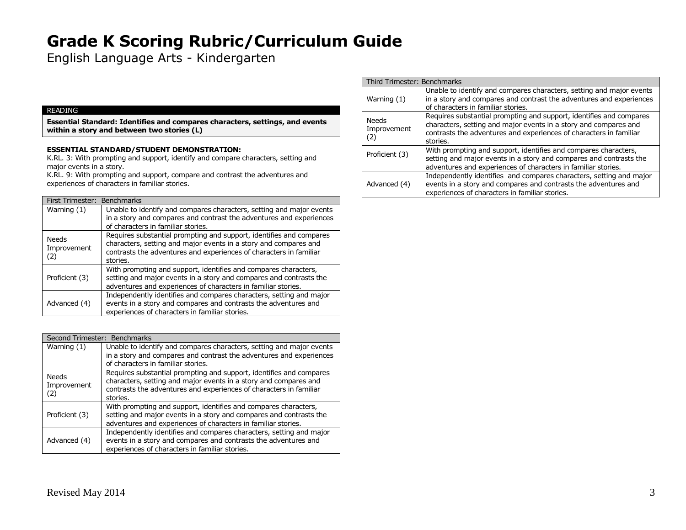English Language Arts - Kindergarten

### READING

**Essential Standard: Identifies and compares characters, settings, and events within a story and between two stories (L)**

### **ESSENTIAL STANDARD/STUDENT DEMONSTRATION:**

K.RL. 3: With prompting and support, identify and compare characters, setting and major events in a story.

K.RL. 9: With prompting and support, compare and contrast the adventures and experiences of characters in familiar stories.

| First Trimester: Benchmarks        |                                                                                                                                                                                                                           |
|------------------------------------|---------------------------------------------------------------------------------------------------------------------------------------------------------------------------------------------------------------------------|
| Warning (1)                        | Unable to identify and compares characters, setting and major events<br>in a story and compares and contrast the adventures and experiences                                                                               |
|                                    | of characters in familiar stories.                                                                                                                                                                                        |
| <b>Needs</b><br>Improvement<br>(2) | Requires substantial prompting and support, identifies and compares<br>characters, setting and major events in a story and compares and<br>contrasts the adventures and experiences of characters in familiar<br>stories. |
| Proficient (3)                     | With prompting and support, identifies and compares characters,<br>setting and major events in a story and compares and contrasts the<br>adventures and experiences of characters in familiar stories.                    |
| Advanced (4)                       | Independently identifies and compares characters, setting and major<br>events in a story and compares and contrasts the adventures and<br>experiences of characters in familiar stories.                                  |

| Second Trimester: Benchmarks       |                                                                                                                                                                                                                           |
|------------------------------------|---------------------------------------------------------------------------------------------------------------------------------------------------------------------------------------------------------------------------|
| Warning (1)                        | Unable to identify and compares characters, setting and major events<br>in a story and compares and contrast the adventures and experiences<br>of characters in familiar stories.                                         |
| <b>Needs</b><br>Improvement<br>(2) | Requires substantial prompting and support, identifies and compares<br>characters, setting and major events in a story and compares and<br>contrasts the adventures and experiences of characters in familiar<br>stories. |
| Proficient (3)                     | With prompting and support, identifies and compares characters,<br>setting and major events in a story and compares and contrasts the<br>adventures and experiences of characters in familiar stories.                    |
| Advanced (4)                       | Independently identifies and compares characters, setting and major<br>events in a story and compares and contrasts the adventures and<br>experiences of characters in familiar stories.                                  |

| Third Trimester: Benchmarks        |                                                                                                                                                                                                                           |  |
|------------------------------------|---------------------------------------------------------------------------------------------------------------------------------------------------------------------------------------------------------------------------|--|
| Warning $(1)$                      | Unable to identify and compares characters, setting and major events<br>in a story and compares and contrast the adventures and experiences<br>of characters in familiar stories.                                         |  |
| <b>Needs</b><br>Improvement<br>(2) | Requires substantial prompting and support, identifies and compares<br>characters, setting and major events in a story and compares and<br>contrasts the adventures and experiences of characters in familiar<br>stories. |  |
| Proficient (3)                     | With prompting and support, identifies and compares characters,<br>setting and major events in a story and compares and contrasts the<br>adventures and experiences of characters in familiar stories.                    |  |
| Advanced (4)                       | Independently identifies and compares characters, setting and major<br>events in a story and compares and contrasts the adventures and<br>experiences of characters in familiar stories.                                  |  |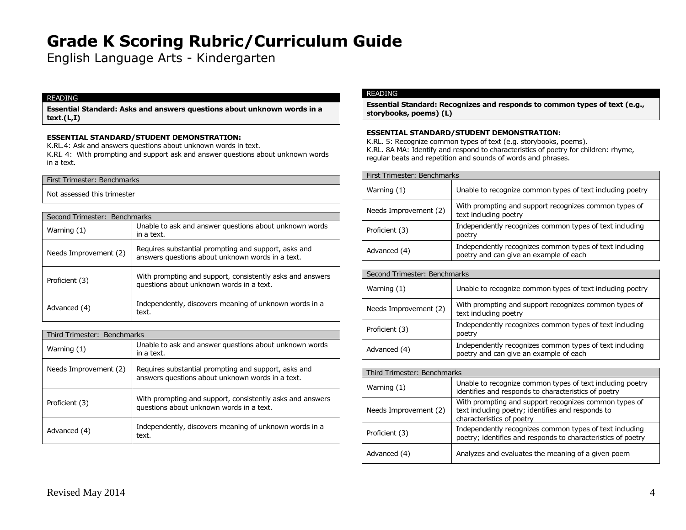English Language Arts - Kindergarten

#### READING

**Essential Standard: Asks and answers questions about unknown words in a text.(L,I)**

### **ESSENTIAL STANDARD/STUDENT DEMONSTRATION:**

K.RL.4: Ask and answers questions about unknown words in text.

K.RI. 4: With prompting and support ask and answer questions about unknown words in a text.

# First Trimester: Benchmarks

Not assessed this trimester

| Second Trimester: Benchmarks |                                                                                                          |
|------------------------------|----------------------------------------------------------------------------------------------------------|
| Warning $(1)$                | Unable to ask and answer questions about unknown words<br>in a text.                                     |
| Needs Improvement (2)        | Requires substantial prompting and support, asks and<br>answers questions about unknown words in a text. |
| Proficient (3)               | With prompting and support, consistently asks and answers<br>questions about unknown words in a text.    |
| Advanced (4)                 | Independently, discovers meaning of unknown words in a<br>text.                                          |

| Third Trimester: Benchmarks |                                                                                                          |
|-----------------------------|----------------------------------------------------------------------------------------------------------|
| Warning (1)                 | Unable to ask and answer questions about unknown words<br>in a text.                                     |
| Needs Improvement (2)       | Requires substantial prompting and support, asks and<br>answers questions about unknown words in a text. |
| Proficient (3)              | With prompting and support, consistently asks and answers<br>questions about unknown words in a text.    |
| Advanced (4)                | Independently, discovers meaning of unknown words in a<br>text.                                          |

# READING

**Essential Standard: Recognizes and responds to common types of text (e.g., storybooks, poems) (L)**

# **ESSENTIAL STANDARD/STUDENT DEMONSTRATION:**

K.RL. 5: Recognize common types of text (e.g. storybooks, poems). K.RL. 8A MA: Identify and respond to characteristics of poetry for children: rhyme, regular beats and repetition and sounds of words and phrases.

| First Trimester: Benchmarks |                                                                                                   |
|-----------------------------|---------------------------------------------------------------------------------------------------|
| Warning (1)                 | Unable to recognize common types of text including poetry                                         |
| Needs Improvement (2)       | With prompting and support recognizes common types of<br>text including poetry                    |
| Proficient (3)              | Independently recognizes common types of text including<br>poetry                                 |
| Advanced (4)                | Independently recognizes common types of text including<br>poetry and can give an example of each |

| Second Trimester: Benchmarks |                                                                                                   |
|------------------------------|---------------------------------------------------------------------------------------------------|
| Warning (1)                  | Unable to recognize common types of text including poetry                                         |
| Needs Improvement (2)        | With prompting and support recognizes common types of<br>text including poetry                    |
| Proficient (3)               | Independently recognizes common types of text including<br>poetry                                 |
| Advanced (4)                 | Independently recognizes common types of text including<br>poetry and can give an example of each |

| Third Trimester: Benchmarks |                                                                                                                                         |
|-----------------------------|-----------------------------------------------------------------------------------------------------------------------------------------|
| Warning $(1)$               | Unable to recognize common types of text including poetry<br>identifies and responds to characteristics of poetry                       |
| Needs Improvement (2)       | With prompting and support recognizes common types of<br>text including poetry; identifies and responds to<br>characteristics of poetry |
| Proficient (3)              | Independently recognizes common types of text including<br>poetry; identifies and responds to characteristics of poetry                 |
| Advanced (4)                | Analyzes and evaluates the meaning of a given poem                                                                                      |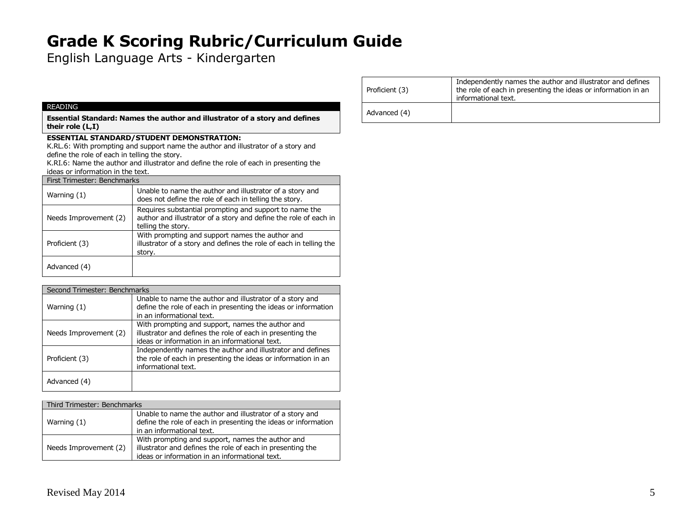English Language Arts - Kindergarten

#### READING

**Essential Standard: Names the author and illustrator of a story and defines their role (L,I)**

# **ESSENTIAL STANDARD/STUDENT DEMONSTRATION:**

K.RL.6: With prompting and support name the author and illustrator of a story and define the role of each in telling the story.

K.RI.6: Name the author and illustrator and define the role of each in presenting the ideas or information in the text.

| First Trimester: Benchmarks |                                                                                                                                                  |
|-----------------------------|--------------------------------------------------------------------------------------------------------------------------------------------------|
| Warning $(1)$               | Unable to name the author and illustrator of a story and<br>does not define the role of each in telling the story.                               |
| Needs Improvement (2)       | Requires substantial prompting and support to name the<br>author and illustrator of a story and define the role of each in<br>telling the story. |
| Proficient (3)              | With prompting and support names the author and<br>illustrator of a story and defines the role of each in telling the<br>story.                  |
| Advanced (4)                |                                                                                                                                                  |

|                       | Second Trimester: Benchmarks                                                                                                                                     |  |
|-----------------------|------------------------------------------------------------------------------------------------------------------------------------------------------------------|--|
| Warning $(1)$         | Unable to name the author and illustrator of a story and<br>define the role of each in presenting the ideas or information<br>in an informational text.          |  |
| Needs Improvement (2) | With prompting and support, names the author and<br>illustrator and defines the role of each in presenting the<br>ideas or information in an informational text. |  |
| Proficient (3)        | Independently names the author and illustrator and defines<br>the role of each in presenting the ideas or information in an<br>informational text.               |  |
| Advanced (4)          |                                                                                                                                                                  |  |

| Third Trimester: Benchmarks |                                                                                                                                                                  |
|-----------------------------|------------------------------------------------------------------------------------------------------------------------------------------------------------------|
| Warning (1)                 | Unable to name the author and illustrator of a story and<br>define the role of each in presenting the ideas or information<br>in an informational text.          |
| Needs Improvement (2)       | With prompting and support, names the author and<br>illustrator and defines the role of each in presenting the<br>ideas or information in an informational text. |

| Proficient (3) | Independently names the author and illustrator and defines<br>the role of each in presenting the ideas or information in an<br>informational text. |
|----------------|----------------------------------------------------------------------------------------------------------------------------------------------------|
| Advanced (4)   |                                                                                                                                                    |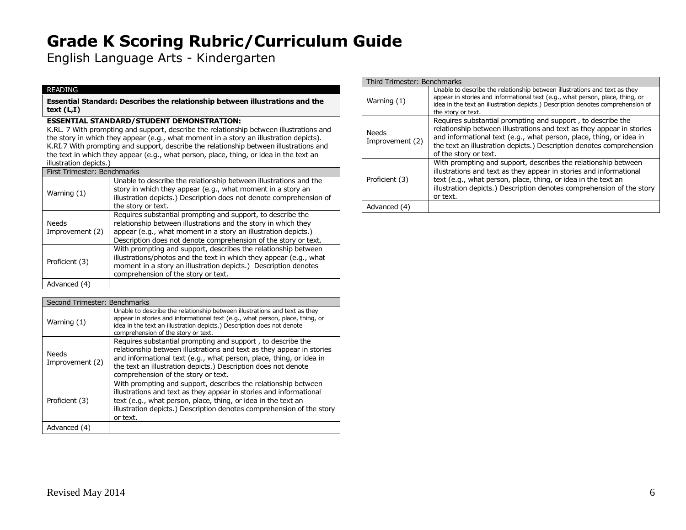English Language Arts - Kindergarten

### READING

**Essential Standard: Describes the relationship between illustrations and the text (L,I)**

# **ESSENTIAL STANDARD/STUDENT DEMONSTRATION:**

K.RL. 7 With prompting and support, describe the relationship between illustrations and the story in which they appear (e.g., what moment in a story an illustration depicts). K.RI.7 With prompting and support, describe the relationship between illustrations and the text in which they appear (e.g., what person, place, thing, or idea in the text an illustration depicts.)

| First Trimester: Benchmarks |                          |                                                                                                                                                                                                                                                                    |
|-----------------------------|--------------------------|--------------------------------------------------------------------------------------------------------------------------------------------------------------------------------------------------------------------------------------------------------------------|
|                             | Warning (1)              | Unable to describe the relationship between illustrations and the<br>story in which they appear (e.g., what moment in a story an<br>illustration depicts.) Description does not denote comprehension of<br>the story or text.                                      |
|                             | Needs<br>Improvement (2) | Requires substantial prompting and support, to describe the<br>relationship between illustrations and the story in which they<br>appear (e.g., what moment in a story an illustration depicts.)<br>Description does not denote comprehension of the story or text. |
|                             | Proficient (3)           | With prompting and support, describes the relationship between<br>illustrations/photos and the text in which they appear (e.g., what<br>moment in a story an illustration depicts.) Description denotes<br>comprehension of the story or text.                     |
|                             | Advanced (4)             |                                                                                                                                                                                                                                                                    |

| Second Trimester: Benchmarks |                                                                                                                                                                                                                                                                                                                      |
|------------------------------|----------------------------------------------------------------------------------------------------------------------------------------------------------------------------------------------------------------------------------------------------------------------------------------------------------------------|
| Warning (1)                  | Unable to describe the relationship between illustrations and text as they<br>appear in stories and informational text (e.g., what person, place, thing, or<br>idea in the text an illustration depicts.) Description does not denote<br>comprehension of the story or text.                                         |
| Needs<br>Improvement (2)     | Requires substantial prompting and support, to describe the<br>relationship between illustrations and text as they appear in stories<br>and informational text (e.g., what person, place, thing, or idea in<br>the text an illustration depicts.) Description does not denote<br>comprehension of the story or text. |
| Proficient (3)               | With prompting and support, describes the relationship between<br>illustrations and text as they appear in stories and informational<br>text (e.g., what person, place, thing, or idea in the text an<br>illustration depicts.) Description denotes comprehension of the story<br>or text.                           |
| Advanced (4)                 |                                                                                                                                                                                                                                                                                                                      |

| Third Trimester: Benchmarks |                                                                                                                                                                                                                                                                                                              |
|-----------------------------|--------------------------------------------------------------------------------------------------------------------------------------------------------------------------------------------------------------------------------------------------------------------------------------------------------------|
| Warning (1)                 | Unable to describe the relationship between illustrations and text as they<br>appear in stories and informational text (e.g., what person, place, thing, or<br>idea in the text an illustration depicts.) Description denotes comprehension of<br>the story or text.                                         |
| Needs<br>Improvement (2)    | Requires substantial prompting and support, to describe the<br>relationship between illustrations and text as they appear in stories<br>and informational text (e.g., what person, place, thing, or idea in<br>the text an illustration depicts.) Description denotes comprehension<br>of the story or text. |
| Proficient (3)              | With prompting and support, describes the relationship between<br>illustrations and text as they appear in stories and informational<br>text (e.g., what person, place, thing, or idea in the text an<br>illustration depicts.) Description denotes comprehension of the story<br>or text.                   |
| Advanced (4)                |                                                                                                                                                                                                                                                                                                              |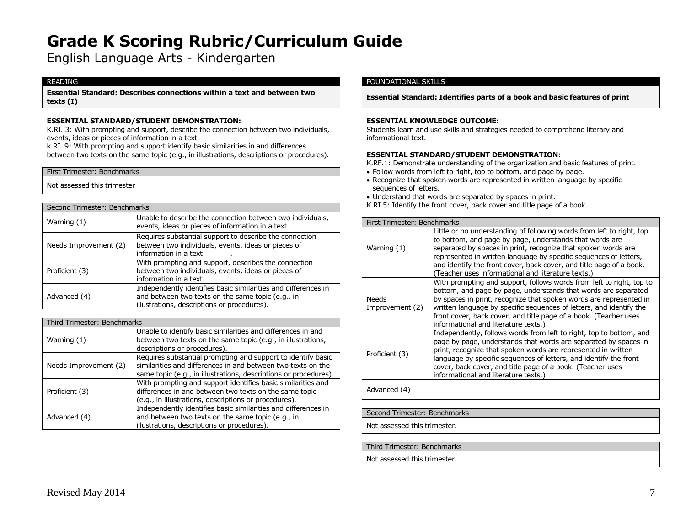English Language Arts - Kindergarten

#### READING

**Essential Standard: Describes connections within a text and between two texts (I)**

# **ESSENTIAL STANDARD/STUDENT DEMONSTRATION:**

K.RI. 3: With prompting and support, describe the connection between two individuals, events, ideas or pieces of information in a text.

k.RI. 9: With prompting and support identify basic similarities in and differences between two texts on the same topic (e.g., in illustrations, descriptions or procedures).

#### First Trimester: Benchmarks

Not assessed this trimester

| Second Trimester: Benchmarks |                                                                                                                                                                    |
|------------------------------|--------------------------------------------------------------------------------------------------------------------------------------------------------------------|
| Warning $(1)$                | Unable to describe the connection between two individuals,<br>events, ideas or pieces of information in a text.                                                    |
| Needs Improvement (2)        | Requires substantial support to describe the connection<br>between two individuals, events, ideas or pieces of<br>information in a text                            |
| Proficient (3)               | With prompting and support, describes the connection<br>between two individuals, events, ideas or pieces of<br>information in a text.                              |
| Advanced (4)                 | Independently identifies basic similarities and differences in<br>and between two texts on the same topic (e.g., in<br>illustrations, descriptions or procedures). |

|                       | Third Trimester: Benchmarks |                                                                                                                                                                                                  |
|-----------------------|-----------------------------|--------------------------------------------------------------------------------------------------------------------------------------------------------------------------------------------------|
| Warning $(1)$         |                             | Unable to identify basic similarities and differences in and<br>between two texts on the same topic (e.g., in illustrations,<br>descriptions or procedures).                                     |
| Needs Improvement (2) |                             | Requires substantial prompting and support to identify basic<br>similarities and differences in and between two texts on the<br>same topic (e.g., in illustrations, descriptions or procedures). |
| Proficient (3)        |                             | With prompting and support identifies basic similarities and<br>differences in and between two texts on the same topic<br>(e.g., in illustrations, descriptions or procedures).                  |
| Advanced (4)          |                             | Independently identifies basic similarities and differences in<br>and between two texts on the same topic (e.g., in<br>illustrations, descriptions or procedures).                               |

#### FOUNDATIONAL SKILLS

**Essential Standard: Identifies parts of a book and basic features of print**

#### **ESSENTIAL KNOWLEDGE OUTCOME:**

Students learn and use skills and strategies needed to comprehend literary and informational text.

#### **ESSENTIAL STANDARD/STUDENT DEMONSTRATION:**

K.RF.1: Demonstrate understanding of the organization and basic features of print.

- Follow words from left to right, top to bottom, and page by page.
- Recognize that spoken words are represented in written language by specific sequences of letters.
- Understand that words are separated by spaces in print.
- K.RI.5: Identify the front cover, back cover and title page of a book.

| First Trimester: Benchmarks     |                                                                                                                                                                                                                                                                                                                                                                                                     |
|---------------------------------|-----------------------------------------------------------------------------------------------------------------------------------------------------------------------------------------------------------------------------------------------------------------------------------------------------------------------------------------------------------------------------------------------------|
| Warning (1)                     | Little or no understanding of following words from left to right, top<br>to bottom, and page by page, understands that words are<br>separated by spaces in print, recognize that spoken words are<br>represented in written language by specific sequences of letters,<br>and identify the front cover, back cover, and title page of a book.<br>(Teacher uses informational and literature texts.) |
| <b>Needs</b><br>Improvement (2) | With prompting and support, follows words from left to right, top to<br>bottom, and page by page, understands that words are separated<br>by spaces in print, recognize that spoken words are represented in<br>written language by specific sequences of letters, and identify the<br>front cover, back cover, and title page of a book. (Teacher uses<br>informational and literature texts.)     |
| Proficient (3)                  | Independently, follows words from left to right, top to bottom, and<br>page by page, understands that words are separated by spaces in<br>print, recognize that spoken words are represented in written<br>language by specific sequences of letters, and identify the front<br>cover, back cover, and title page of a book. (Teacher uses<br>informational and literature texts.)                  |
| Advanced (4)                    |                                                                                                                                                                                                                                                                                                                                                                                                     |

#### Second Trimester: Benchmarks

Not assessed this trimester.

Third Trimester: Benchmarks

Not assessed this trimester.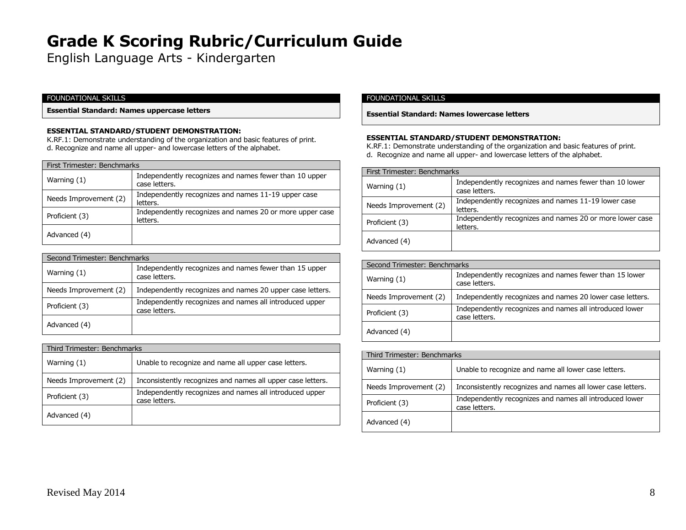English Language Arts - Kindergarten

# FOUNDATIONAL SKILLS

**Essential Standard: Names uppercase letters**

#### **ESSENTIAL STANDARD/STUDENT DEMONSTRATION:**

K.RF.1: Demonstrate understanding of the organization and basic features of print. d. Recognize and name all upper- and lowercase letters of the alphabet.

| First Trimester: Benchmarks |                                                                         |
|-----------------------------|-------------------------------------------------------------------------|
| Warning $(1)$               | Independently recognizes and names fewer than 10 upper<br>case letters. |
| Needs Improvement (2)       | Independently recognizes and names 11-19 upper case<br>letters.         |
| Proficient (3)              | Independently recognizes and names 20 or more upper case<br>letters.    |
| Advanced (4)                |                                                                         |

| Second Trimester: Benchmarks |                                                                          |  |
|------------------------------|--------------------------------------------------------------------------|--|
| Warning (1)                  | Independently recognizes and names fewer than 15 upper<br>case letters.  |  |
| Needs Improvement (2)        | Independently recognizes and names 20 upper case letters.                |  |
| Proficient (3)               | Independently recognizes and names all introduced upper<br>case letters. |  |
| Advanced (4)                 |                                                                          |  |

| Third Trimester: Benchmarks |                                                                          |  |
|-----------------------------|--------------------------------------------------------------------------|--|
| Warning $(1)$               | Unable to recognize and name all upper case letters.                     |  |
| Needs Improvement (2)       | Inconsistently recognizes and names all upper case letters.              |  |
| Proficient (3)              | Independently recognizes and names all introduced upper<br>case letters. |  |
| Advanced (4)                |                                                                          |  |

#### FOUNDATIONAL SKILLS

**Essential Standard: Names lowercase letters**

#### **ESSENTIAL STANDARD/STUDENT DEMONSTRATION:**

K.RF.1: Demonstrate understanding of the organization and basic features of print. d. Recognize and name all upper- and lowercase letters of the alphabet.

| First Trimester: Benchmarks |                                                                         |
|-----------------------------|-------------------------------------------------------------------------|
| Warning $(1)$               | Independently recognizes and names fewer than 10 lower<br>case letters. |
| Needs Improvement (2)       | Independently recognizes and names 11-19 lower case<br>letters.         |
| Proficient (3)              | Independently recognizes and names 20 or more lower case<br>letters.    |
| Advanced (4)                |                                                                         |

| Second Trimester: Benchmarks |                                                                          |
|------------------------------|--------------------------------------------------------------------------|
| Warning $(1)$                | Independently recognizes and names fewer than 15 lower<br>case letters.  |
| Needs Improvement (2)        | Independently recognizes and names 20 lower case letters.                |
| Proficient (3)               | Independently recognizes and names all introduced lower<br>case letters. |
| Advanced (4)                 |                                                                          |

| Third Trimester: Benchmarks |                                                                          |  |
|-----------------------------|--------------------------------------------------------------------------|--|
| Warning $(1)$               | Unable to recognize and name all lower case letters.                     |  |
| Needs Improvement (2)       | Inconsistently recognizes and names all lower case letters.              |  |
| Proficient (3)              | Independently recognizes and names all introduced lower<br>case letters. |  |
| Advanced (4)                |                                                                          |  |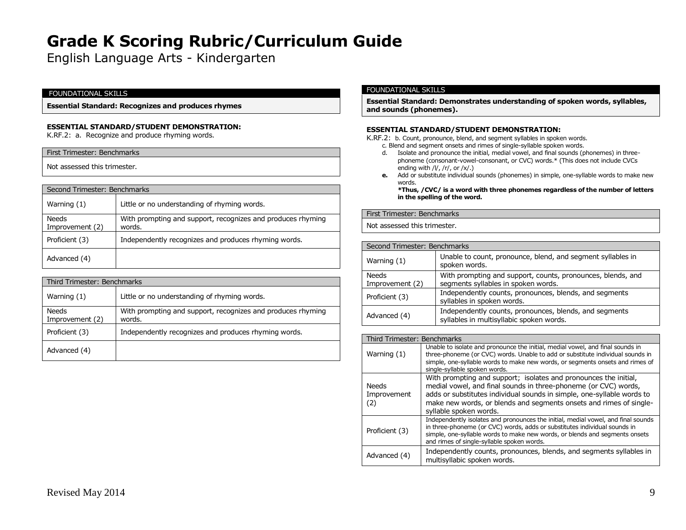English Language Arts - Kindergarten

#### FOUNDATIONAL SKILLS

**Essential Standard: Recognizes and produces rhymes**

### **ESSENTIAL STANDARD/STUDENT DEMONSTRATION:**

K.RF.2: a. Recognize and produce rhyming words.

# First Trimester: Benchmarks

Not assessed this trimester.

| Second Trimester: Benchmarks |                                                                       |  |
|------------------------------|-----------------------------------------------------------------------|--|
| Warning (1)                  | Little or no understanding of rhyming words.                          |  |
| Needs<br>Improvement (2)     | With prompting and support, recognizes and produces rhyming<br>words. |  |
| Proficient (3)               | Independently recognizes and produces rhyming words.                  |  |
| Advanced (4)                 |                                                                       |  |

| Third Trimester: Benchmarks |                                                                       |  |
|-----------------------------|-----------------------------------------------------------------------|--|
| Warning $(1)$               | Little or no understanding of rhyming words.                          |  |
| Needs<br>Improvement (2)    | With prompting and support, recognizes and produces rhyming<br>words. |  |
| Proficient (3)              | Independently recognizes and produces rhyming words.                  |  |
| Advanced (4)                |                                                                       |  |

#### FOUNDATIONAL SKILLS

**Essential Standard: Demonstrates understanding of spoken words, syllables, and sounds (phonemes).**

#### **ESSENTIAL STANDARD/STUDENT DEMONSTRATION:**

K.RF.2: b. Count, pronounce, blend, and segment syllables in spoken words.

c. Blend and segment onsets and rimes of single-syllable spoken words.

- d. Isolate and pronounce the initial, medial vowel, and final sounds (phonemes) in threephoneme (consonant-vowel-consonant, or CVC) words.\* (This does not include CVCs ending with  $/$   $/$ ,  $/$ r $/$ , or  $/$ x $/$ . $)$
- **e.** Add or substitute individual sounds (phonemes) in simple, one-syllable words to make new words.

**\*Thus, /CVC/ is a word with three phonemes regardless of the number of letters in the spelling of the word.**

First Trimester: Benchmarks

Not assessed this trimester.

| Second Trimester: Benchmarks |                                                                                                    |
|------------------------------|----------------------------------------------------------------------------------------------------|
| Warning $(1)$                | Unable to count, pronounce, blend, and segment syllables in<br>spoken words.                       |
| Needs<br>Improvement (2)     | With prompting and support, counts, pronounces, blends, and<br>segments syllables in spoken words. |
| Proficient (3)               | Independently counts, pronounces, blends, and segments<br>syllables in spoken words.               |
| Advanced (4)                 | Independently counts, pronounces, blends, and segments<br>syllables in multisyllabic spoken words. |

| Third Trimester: Benchmarks |                                                                                                                                                                                                                                                                                                               |
|-----------------------------|---------------------------------------------------------------------------------------------------------------------------------------------------------------------------------------------------------------------------------------------------------------------------------------------------------------|
| Warning $(1)$               | Unable to isolate and pronounce the initial, medial vowel, and final sounds in<br>three-phoneme (or CVC) words. Unable to add or substitute individual sounds in<br>simple, one-syllable words to make new words, or segments onsets and rimes of<br>single-syllable spoken words.                            |
| Needs<br>Improvement<br>(2) | With prompting and support; isolates and pronounces the initial,<br>medial vowel, and final sounds in three-phoneme (or CVC) words,<br>adds or substitutes individual sounds in simple, one-syllable words to<br>make new words, or blends and segments onsets and rimes of single-<br>syllable spoken words. |
| Proficient (3)              | Independently isolates and pronounces the initial, medial vowel, and final sounds<br>in three-phoneme (or CVC) words, adds or substitutes individual sounds in<br>simple, one-syllable words to make new words, or blends and segments onsets<br>and rimes of single-syllable spoken words.                   |
| Advanced (4)                | Independently counts, pronounces, blends, and segments syllables in<br>multisyllabic spoken words.                                                                                                                                                                                                            |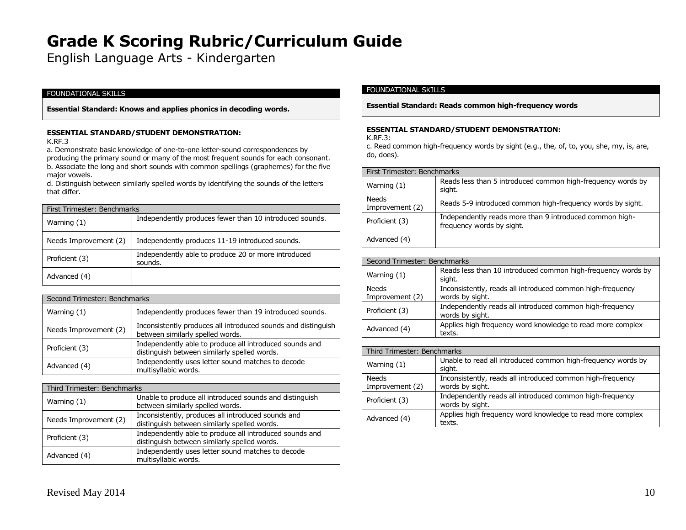English Language Arts - Kindergarten

# FOUNDATIONAL SKILLS

**Essential Standard: Knows and applies phonics in decoding words.**

### **ESSENTIAL STANDARD/STUDENT DEMONSTRATION:**

K.RF.3

a. Demonstrate basic knowledge of one-to-one letter-sound correspondences by producing the primary sound or many of the most frequent sounds for each consonant. b. Associate the long and short sounds with common spellings (graphemes) for the five major vowels.

d. Distinguish between similarly spelled words by identifying the sounds of the letters that differ.

| First Trimester: Benchmarks |                                                                |
|-----------------------------|----------------------------------------------------------------|
| Warning $(1)$               | Independently produces fewer than 10 introduced sounds.        |
| Needs Improvement (2)       | Independently produces 11-19 introduced sounds.                |
| Proficient (3)              | Independently able to produce 20 or more introduced<br>sounds. |
| Advanced (4)                |                                                                |

| Second Trimester: Benchmarks |                                                                                                         |
|------------------------------|---------------------------------------------------------------------------------------------------------|
| Warning $(1)$                | Independently produces fewer than 19 introduced sounds.                                                 |
| Needs Improvement (2)        | Inconsistently produces all introduced sounds and distinguish<br>between similarly spelled words.       |
| Proficient (3)               | Independently able to produce all introduced sounds and<br>distinguish between similarly spelled words. |
| Advanced (4)                 | Independently uses letter sound matches to decode<br>multisyllabic words.                               |

| Third Trimester: Benchmarks |                                                                                                         |
|-----------------------------|---------------------------------------------------------------------------------------------------------|
| Warning (1)                 | Unable to produce all introduced sounds and distinguish<br>between similarly spelled words.             |
| Needs Improvement (2)       | Inconsistently, produces all introduced sounds and<br>distinguish between similarly spelled words.      |
| Proficient (3)              | Independently able to produce all introduced sounds and<br>distinguish between similarly spelled words. |
| Advanced (4)                | Independently uses letter sound matches to decode<br>multisyllabic words.                               |

# FOUNDATIONAL SKILLS

**Essential Standard: Reads common high-frequency words**

#### **ESSENTIAL STANDARD/STUDENT DEMONSTRATION:**

K.RF.3:

c. Read common high-frequency words by sight (e.g., the, of, to, you, she, my, is, are, do, does).

| First Trimester: Benchmarks     |                                                                                      |
|---------------------------------|--------------------------------------------------------------------------------------|
| Warning (1)                     | Reads less than 5 introduced common high-frequency words by<br>sight.                |
| <b>Needs</b><br>Improvement (2) | Reads 5-9 introduced common high-frequency words by sight.                           |
| Proficient (3)                  | Independently reads more than 9 introduced common high-<br>frequency words by sight. |
| Advanced (4)                    |                                                                                      |

| Second Trimester: Benchmarks |                                                                               |
|------------------------------|-------------------------------------------------------------------------------|
| Warning (1)                  | Reads less than 10 introduced common high-frequency words by<br>sight.        |
| Needs<br>Improvement (2)     | Inconsistently, reads all introduced common high-frequency<br>words by sight. |
| Proficient (3)               | Independently reads all introduced common high-frequency<br>words by sight.   |
| Advanced (4)                 | Applies high frequency word knowledge to read more complex<br>texts.          |

| Third Trimester: Benchmarks |                                                                               |
|-----------------------------|-------------------------------------------------------------------------------|
| Warning (1)                 | Unable to read all introduced common high-frequency words by<br>sight.        |
| Needs<br>Improvement (2)    | Inconsistently, reads all introduced common high-frequency<br>words by sight. |
| Proficient (3)              | Independently reads all introduced common high-frequency<br>words by sight.   |
| Advanced (4)                | Applies high frequency word knowledge to read more complex<br>texts.          |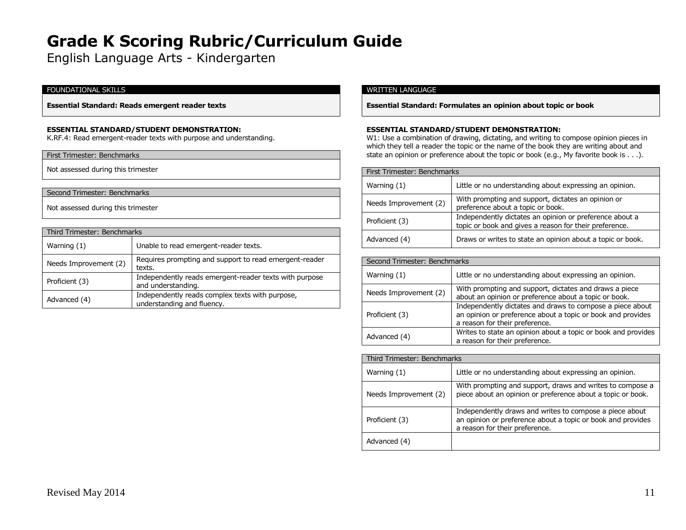English Language Arts - Kindergarten

# FOUNDATIONAL SKILLS

**Essential Standard: Reads emergent reader texts**

#### **ESSENTIAL STANDARD/STUDENT DEMONSTRATION:**

K.RF.4: Read emergent-reader texts with purpose and understanding.

#### First Trimester: Benchmarks

Not assessed during this trimester

# Second Trimester: Benchmarks

Not assessed during this trimester

| Third Trimester: Benchmarks |                                                                               |
|-----------------------------|-------------------------------------------------------------------------------|
| Warning $(1)$               | Unable to read emergent-reader texts.                                         |
| Needs Improvement (2)       | Requires prompting and support to read emergent-reader<br>texts.              |
| Proficient (3)              | Independently reads emergent-reader texts with purpose<br>and understanding.  |
| Advanced (4)                | Independently reads complex texts with purpose,<br>understanding and fluency. |

#### WRITTEN LANGUAGE

**Essential Standard: Formulates an opinion about topic or book**

#### **ESSENTIAL STANDARD/STUDENT DEMONSTRATION:**

W1: Use a combination of drawing, dictating, and writing to compose opinion pieces in which they tell a reader the topic or the name of the book they are writing about and state an opinion or preference about the topic or book (e.g., My favorite book is . . .).

| First Trimester: Benchmarks |                                                                                                                   |
|-----------------------------|-------------------------------------------------------------------------------------------------------------------|
| Warning $(1)$               | Little or no understanding about expressing an opinion.                                                           |
| Needs Improvement (2)       | With prompting and support, dictates an opinion or<br>preference about a topic or book.                           |
| Proficient (3)              | Independently dictates an opinion or preference about a<br>topic or book and gives a reason for their preference. |
| Advanced (4)                | Draws or writes to state an opinion about a topic or book.                                                        |

| Second Trimester: Benchmarks |                                                                                                                                                            |
|------------------------------|------------------------------------------------------------------------------------------------------------------------------------------------------------|
| Warning (1)                  | Little or no understanding about expressing an opinion.                                                                                                    |
| Needs Improvement (2)        | With prompting and support, dictates and draws a piece<br>about an opinion or preference about a topic or book.                                            |
| Proficient (3)               | Independently dictates and draws to compose a piece about<br>an opinion or preference about a topic or book and provides<br>a reason for their preference. |
| Advanced (4)                 | Writes to state an opinion about a topic or book and provides<br>a reason for their preference.                                                            |

| Third Trimester: Benchmarks |                                                                                                                                                          |
|-----------------------------|----------------------------------------------------------------------------------------------------------------------------------------------------------|
| Warning (1)                 | Little or no understanding about expressing an opinion.                                                                                                  |
| Needs Improvement (2)       | With prompting and support, draws and writes to compose a<br>piece about an opinion or preference about a topic or book.                                 |
| Proficient (3)              | Independently draws and writes to compose a piece about<br>an opinion or preference about a topic or book and provides<br>a reason for their preference. |
| Advanced (4)                |                                                                                                                                                          |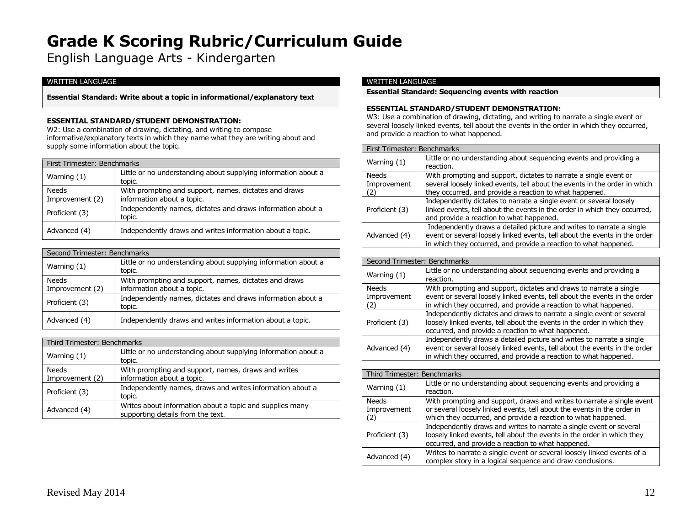English Language Arts - Kindergarten

# WRITTEN LANGUAGE

# **Essential Standard: Write about a topic in informational/explanatory text**

# **ESSENTIAL STANDARD/STUDENT DEMONSTRATION:**

W2: Use a combination of drawing, dictating, and writing to compose informative/explanatory texts in which they name what they are writing about and supply some information about the topic.

| First Trimester: Benchmarks |                                                                          |
|-----------------------------|--------------------------------------------------------------------------|
| Warning (1)                 | Little or no understanding about supplying information about a<br>topic. |
| <b>Needs</b>                | With prompting and support, names, dictates and draws                    |
| Improvement (2)             | information about a topic.                                               |
| Proficient (3)              | Independently names, dictates and draws information about a<br>topic.    |
| Advanced (4)                | Independently draws and writes information about a topic.                |

| Second Trimester: Benchmarks |                                                                                     |
|------------------------------|-------------------------------------------------------------------------------------|
| Warning $(1)$                | Little or no understanding about supplying information about a<br>topic.            |
| Needs<br>Improvement (2)     | With prompting and support, names, dictates and draws<br>information about a topic. |
| Proficient (3)               | Independently names, dictates and draws information about a<br>topic.               |
| Advanced (4)                 | Independently draws and writes information about a topic.                           |

| Third Trimester: Benchmarks     |                                                                                               |
|---------------------------------|-----------------------------------------------------------------------------------------------|
| Warning (1)                     | Little or no understanding about supplying information about a<br>topic.                      |
| <b>Needs</b><br>Improvement (2) | With prompting and support, names, draws and writes<br>information about a topic.             |
| Proficient (3)                  | Independently names, draws and writes information about a<br>topic.                           |
| Advanced (4)                    | Writes about information about a topic and supplies many<br>supporting details from the text. |

#### WRITTEN LANGUAGE

**Essential Standard: Sequencing events with reaction**

### **ESSENTIAL STANDARD/STUDENT DEMONSTRATION:**

W3: Use a combination of drawing, dictating, and writing to narrate a single event or several loosely linked events, tell about the events in the order in which they occurred, and provide a reaction to what happened.

| First Trimester: Benchmarks       |                                                                                                                                                                                                                         |
|-----------------------------------|-------------------------------------------------------------------------------------------------------------------------------------------------------------------------------------------------------------------------|
| Warning $(1)$                     | Little or no understanding about sequencing events and providing a<br>reaction.                                                                                                                                         |
| <b>Needs</b><br>Improvement<br>2) | With prompting and support, dictates to narrate a single event or<br>several loosely linked events, tell about the events in the order in which<br>they occurred, and provide a reaction to what happened.              |
| Proficient (3)                    | Independently dictates to narrate a single event or several loosely<br>linked events, tell about the events in the order in which they occurred,<br>and provide a reaction to what happened.                            |
| Advanced (4)                      | Independently draws a detailed picture and writes to narrate a single<br>event or several loosely linked events, tell about the events in the order<br>in which they occurred, and provide a reaction to what happened. |

| Second Trimester: Benchmarks |                                                                                                                                                                                                                         |
|------------------------------|-------------------------------------------------------------------------------------------------------------------------------------------------------------------------------------------------------------------------|
| Warning $(1)$                | Little or no understanding about sequencing events and providing a<br>reaction.                                                                                                                                         |
| <b>Needs</b><br>Improvement  | With prompting and support, dictates and draws to narrate a single<br>event or several loosely linked events, tell about the events in the order<br>in which they occurred, and provide a reaction to what happened.    |
| Proficient (3)               | Independently dictates and draws to narrate a single event or several<br>loosely linked events, tell about the events in the order in which they<br>occurred, and provide a reaction to what happened.                  |
| Advanced (4)                 | Independently draws a detailed picture and writes to narrate a single<br>event or several loosely linked events, tell about the events in the order<br>in which they occurred, and provide a reaction to what happened. |

| Third Trimester: Benchmarks |                                                                                                                                                                                                                    |
|-----------------------------|--------------------------------------------------------------------------------------------------------------------------------------------------------------------------------------------------------------------|
| Warning $(1)$               | Little or no understanding about sequencing events and providing a<br>reaction.                                                                                                                                    |
| <b>Needs</b><br>Improvement | With prompting and support, draws and writes to narrate a single event<br>or several loosely linked events, tell about the events in the order in<br>which they occurred, and provide a reaction to what happened. |
| Proficient (3)              | Independently draws and writes to narrate a single event or several<br>loosely linked events, tell about the events in the order in which they<br>occurred, and provide a reaction to what happened.               |
| Advanced (4)                | Writes to narrate a single event or several loosely linked events of a<br>complex story in a logical sequence and draw conclusions.                                                                                |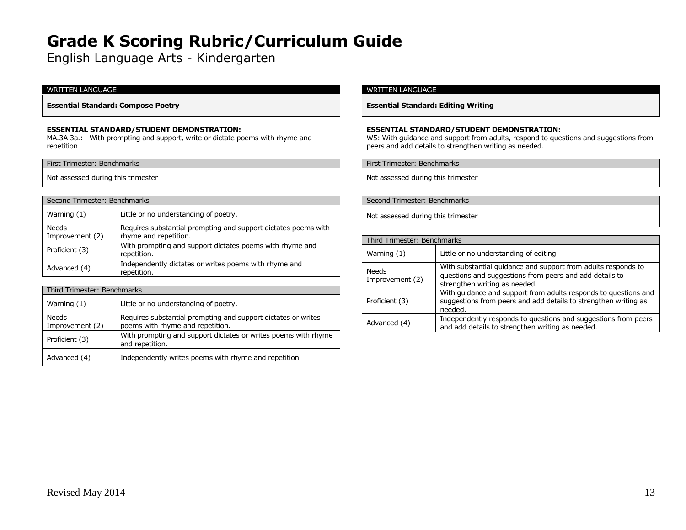English Language Arts - Kindergarten

# WRITTEN LANGUAGE

**Essential Standard: Compose Poetry**

### **ESSENTIAL STANDARD/STUDENT DEMONSTRATION:**

MA.3A 3a.: With prompting and support, write or dictate poems with rhyme and repetition

#### First Trimester: Benchmarks

Not assessed during this trimester

#### Second Trimester: Benchmarks

| Warning (1)                     | Little or no understanding of poetry.                                                   |
|---------------------------------|-----------------------------------------------------------------------------------------|
| <b>Needs</b><br>Improvement (2) | Requires substantial prompting and support dictates poems with<br>rhyme and repetition. |
| Proficient (3)                  | With prompting and support dictates poems with rhyme and<br>repetition.                 |
| Advanced (4)                    | Independently dictates or writes poems with rhyme and<br>repetition.                    |

| Third Trimester: Benchmarks     |                                                                                                   |  |
|---------------------------------|---------------------------------------------------------------------------------------------------|--|
| Warning (1)                     | Little or no understanding of poetry.                                                             |  |
| <b>Needs</b><br>Improvement (2) | Requires substantial prompting and support dictates or writes<br>poems with rhyme and repetition. |  |
| Proficient (3)                  | With prompting and support dictates or writes poems with rhyme<br>and repetition.                 |  |
| Advanced (4)                    | Independently writes poems with rhyme and repetition.                                             |  |

# WRITTEN LANGUAGE

**Essential Standard: Editing Writing**

### **ESSENTIAL STANDARD/STUDENT DEMONSTRATION:**

W5: With guidance and support from adults, respond to questions and suggestions from peers and add details to strengthen writing as needed.

First Trimester: Benchmarks

Not assessed during this trimester

### Second Trimester: Benchmarks

| Third Trimester: Benchmarks |                                                                                                                                                           |
|-----------------------------|-----------------------------------------------------------------------------------------------------------------------------------------------------------|
| Warning $(1)$               | Little or no understanding of editing.                                                                                                                    |
| Needs<br>Improvement (2)    | With substantial quidance and support from adults responds to<br>questions and suggestions from peers and add details to<br>strengthen writing as needed. |
| Proficient (3)              | With quidance and support from adults responds to questions and<br>suggestions from peers and add details to strengthen writing as<br>needed.             |
| Advanced (4)                | Independently responds to questions and suggestions from peers<br>and add details to strengthen writing as needed.                                        |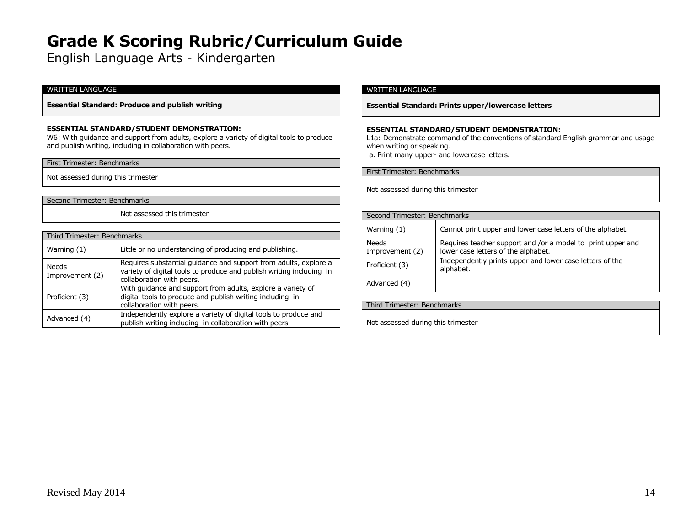English Language Arts - Kindergarten

# WRITTEN LANGUAGE

**Essential Standard: Produce and publish writing**

#### **ESSENTIAL STANDARD/STUDENT DEMONSTRATION:**

W6: With guidance and support from adults, explore a variety of digital tools to produce and publish writing, including in collaboration with peers.

Not assessed during this trimester

# Second Trimester: Benchmarks

Not assessed this trimester

| Third Trimester: Benchmarks |                                                                                                                                                                       |
|-----------------------------|-----------------------------------------------------------------------------------------------------------------------------------------------------------------------|
| Warning $(1)$               | Little or no understanding of producing and publishing.                                                                                                               |
| Needs<br>Improvement (2)    | Requires substantial quidance and support from adults, explore a<br>variety of digital tools to produce and publish writing including in<br>collaboration with peers. |
| Proficient (3)              | With guidance and support from adults, explore a variety of<br>digital tools to produce and publish writing including in<br>collaboration with peers.                 |
| Advanced (4)                | Independently explore a variety of digital tools to produce and<br>publish writing including in collaboration with peers.                                             |

# WRITTEN LANGUAGE

**Essential Standard: Prints upper/lowercase letters**

#### **ESSENTIAL STANDARD/STUDENT DEMONSTRATION:**

L1a: Demonstrate command of the conventions of standard English grammar and usage when writing or speaking.

a. Print many upper- and lowercase letters.

| First Trimester: Benchmarks        |  |
|------------------------------------|--|
| Not assessed during this trimester |  |

| Second Trimester: Benchmarks    |                                                                                                    |
|---------------------------------|----------------------------------------------------------------------------------------------------|
| Warning $(1)$                   | Cannot print upper and lower case letters of the alphabet.                                         |
| <b>Needs</b><br>Improvement (2) | Requires teacher support and /or a model to print upper and<br>lower case letters of the alphabet. |
| Proficient (3)                  | Independently prints upper and lower case letters of the<br>alphabet.                              |
| Advanced (4)                    |                                                                                                    |

Third Trimester: Benchmarks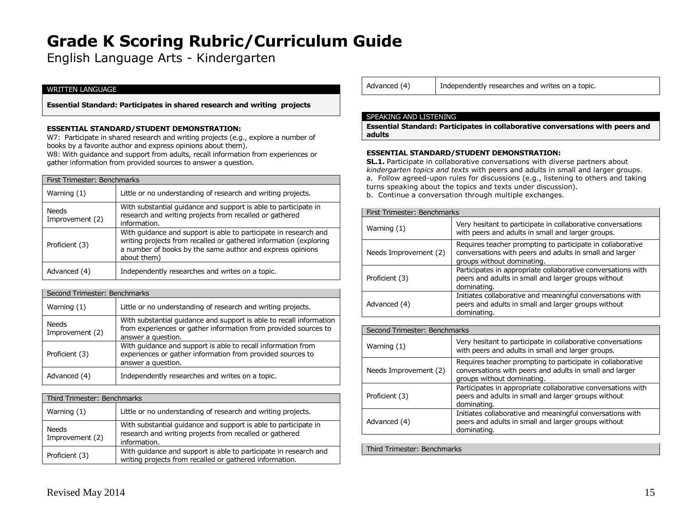English Language Arts - Kindergarten

# WRITTEN LANGUAGE

**Essential Standard: Participates in shared research and writing projects**

#### **ESSENTIAL STANDARD/STUDENT DEMONSTRATION:**

W7: Participate in shared research and writing projects (e.g., explore a number of books by a favorite author and express opinions about them).

W8: With guidance and support from adults, recall information from experiences or gather information from provided sources to answer a question.

|  | First Trimester: Benchmarks     |                                                                                                                                                                                                                   |
|--|---------------------------------|-------------------------------------------------------------------------------------------------------------------------------------------------------------------------------------------------------------------|
|  | Warning (1)                     | Little or no understanding of research and writing projects.                                                                                                                                                      |
|  | <b>Needs</b><br>Improvement (2) | With substantial guidance and support is able to participate in<br>research and writing projects from recalled or gathered<br>information.                                                                        |
|  | Proficient (3)                  | With quidance and support is able to participate in research and<br>writing projects from recalled or gathered information (exploring<br>a number of books by the same author and express opinions<br>about them) |
|  | Advanced (4)                    | Independently researches and writes on a topic.                                                                                                                                                                   |

| Second Trimester: Benchmarks |                                                                                                                                                              |
|------------------------------|--------------------------------------------------------------------------------------------------------------------------------------------------------------|
| Warning (1)                  | Little or no understanding of research and writing projects.                                                                                                 |
| Needs<br>Improvement (2)     | With substantial quidance and support is able to recall information<br>from experiences or gather information from provided sources to<br>answer a question. |
| Proficient (3)               | With guidance and support is able to recall information from<br>experiences or gather information from provided sources to<br>answer a question.             |
| Advanced (4)                 | Independently researches and writes on a topic.                                                                                                              |

| Third Trimester: Benchmarks |                                                                                                                                            |
|-----------------------------|--------------------------------------------------------------------------------------------------------------------------------------------|
| Warning $(1)$               | Little or no understanding of research and writing projects.                                                                               |
| Needs<br>Improvement (2)    | With substantial guidance and support is able to participate in<br>research and writing projects from recalled or gathered<br>information. |
| Proficient (3)              | With guidance and support is able to participate in research and<br>writing projects from recalled or gathered information.                |

Advanced (4) | Independently researches and writes on a topic.

#### SPEAKING AND LISTENING

**Essential Standard: Participates in collaborative conversations with peers and adults**

#### **ESSENTIAL STANDARD/STUDENT DEMONSTRATION:**

**SL.1.** Participate in collaborative conversations with diverse partners about *kindergarten topics and texts* with peers and adults in small and larger groups. a. Follow agreed-upon rules for discussions (e.g., listening to others and taking turns speaking about the topics and texts under discussion). b. Continue a conversation through multiple exchanges.

| First Trimester: Benchmarks |                                                                                                                                                     |
|-----------------------------|-----------------------------------------------------------------------------------------------------------------------------------------------------|
| Warning (1)                 | Very hesitant to participate in collaborative conversations<br>with peers and adults in small and larger groups.                                    |
| Needs Improvement (2)       | Requires teacher prompting to participate in collaborative<br>conversations with peers and adults in small and larger<br>groups without dominating. |
| Proficient (3)              | Participates in appropriate collaborative conversations with<br>peers and adults in small and larger groups without<br>dominating.                  |
| Advanced (4)                | Initiates collaborative and meaningful conversations with<br>peers and adults in small and larger groups without<br>dominating.                     |

| Second Trimester: Benchmarks |                                                                                                                                                     |
|------------------------------|-----------------------------------------------------------------------------------------------------------------------------------------------------|
| Warning $(1)$                | Very hesitant to participate in collaborative conversations<br>with peers and adults in small and larger groups.                                    |
| Needs Improvement (2)        | Requires teacher prompting to participate in collaborative<br>conversations with peers and adults in small and larger<br>groups without dominating. |
| Proficient (3)               | Participates in appropriate collaborative conversations with<br>peers and adults in small and larger groups without<br>dominating.                  |
| Advanced (4)                 | Initiates collaborative and meaningful conversations with<br>peers and adults in small and larger groups without<br>dominating.                     |

Third Trimester: Benchmarks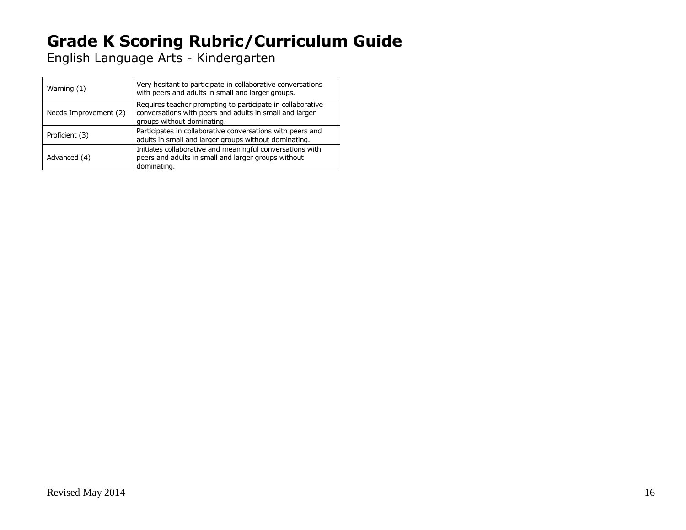English Language Arts - Kindergarten

| Warning (1)           | Very hesitant to participate in collaborative conversations<br>with peers and adults in small and larger groups.                                    |
|-----------------------|-----------------------------------------------------------------------------------------------------------------------------------------------------|
| Needs Improvement (2) | Requires teacher prompting to participate in collaborative<br>conversations with peers and adults in small and larger<br>groups without dominating. |
| Proficient (3)        | Participates in collaborative conversations with peers and<br>adults in small and larger groups without dominating.                                 |
| Advanced (4)          | Initiates collaborative and meaningful conversations with<br>peers and adults in small and larger groups without<br>dominating.                     |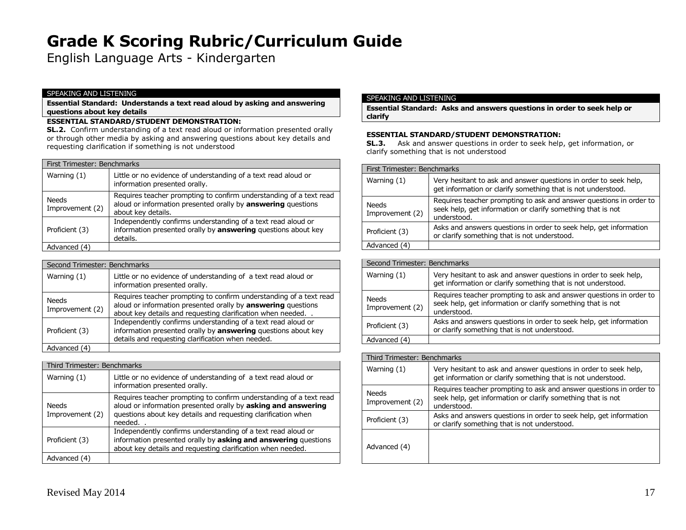English Language Arts - Kindergarten

#### SPEAKING AND LISTENING

**Essential Standard: Understands a text read aloud by asking and answering questions about key details**

# **ESSENTIAL STANDARD/STUDENT DEMONSTRATION:**

**SL.2.** Confirm understanding of a text read aloud or information presented orally or through other media by asking and answering questions about key details and requesting clarification if something is not understood

| First Trimester: Benchmarks     |                                                                                                                                                                 |
|---------------------------------|-----------------------------------------------------------------------------------------------------------------------------------------------------------------|
| Warning $(1)$                   | Little or no evidence of understanding of a text read aloud or<br>information presented orally.                                                                 |
| <b>Needs</b><br>Improvement (2) | Requires teacher prompting to confirm understanding of a text read<br>aloud or information presented orally by <b>answering</b> questions<br>about key details. |
| Proficient (3)                  | Independently confirms understanding of a text read aloud or<br>information presented orally by answering questions about key<br>details.                       |
| Advanced (4)                    |                                                                                                                                                                 |

| Second Trimester: Benchmarks |                                                                                                                                                                                                  |
|------------------------------|--------------------------------------------------------------------------------------------------------------------------------------------------------------------------------------------------|
| Warning $(1)$                | Little or no evidence of understanding of a text read aloud or<br>information presented orally.                                                                                                  |
| Needs<br>Improvement (2)     | Requires teacher prompting to confirm understanding of a text read<br>aloud or information presented orally by answering questions<br>about key details and requesting clarification when needed |
| Proficient (3)               | Independently confirms understanding of a text read aloud or<br>information presented orally by answering questions about key<br>details and requesting clarification when needed.               |
| Advanced (4)                 |                                                                                                                                                                                                  |

| Third Trimester: Benchmarks |                                                                                                                                                                                                                |
|-----------------------------|----------------------------------------------------------------------------------------------------------------------------------------------------------------------------------------------------------------|
| Warning $(1)$               | Little or no evidence of understanding of a text read aloud or<br>information presented orally.                                                                                                                |
| Needs<br>Improvement (2)    | Requires teacher prompting to confirm understanding of a text read<br>aloud or information presented orally by asking and answering<br>questions about key details and requesting clarification when<br>needed |
| Proficient (3)              | Independently confirms understanding of a text read aloud or<br>information presented orally by asking and answering questions<br>about key details and requesting clarification when needed.                  |
| Advanced (4)                |                                                                                                                                                                                                                |

### SPEAKING AND LISTENING

**Essential Standard: Asks and answers questions in order to seek help or clarify**

### **ESSENTIAL STANDARD/STUDENT DEMONSTRATION:**

**SL.3.** Ask and answer questions in order to seek help, get information, or clarify something that is not understood

| First Trimester: Benchmarks     |                                                                                                                                                  |
|---------------------------------|--------------------------------------------------------------------------------------------------------------------------------------------------|
| Warning $(1)$                   | Very hesitant to ask and answer questions in order to seek help,<br>get information or clarify something that is not understood.                 |
| <b>Needs</b><br>Improvement (2) | Requires teacher prompting to ask and answer questions in order to<br>seek help, get information or clarify something that is not<br>understood. |
| Proficient (3)                  | Asks and answers questions in order to seek help, get information<br>or clarify something that is not understood.                                |
| Advanced (4)                    |                                                                                                                                                  |

| Second Trimester: Benchmarks    |                                                                                                                                                  |
|---------------------------------|--------------------------------------------------------------------------------------------------------------------------------------------------|
| Warning $(1)$                   | Very hesitant to ask and answer questions in order to seek help,<br>get information or clarify something that is not understood.                 |
| <b>Needs</b><br>Improvement (2) | Requires teacher prompting to ask and answer questions in order to<br>seek help, get information or clarify something that is not<br>understood. |
| Proficient (3)                  | Asks and answers questions in order to seek help, get information<br>or clarify something that is not understood.                                |
| Advanced (4)                    |                                                                                                                                                  |

| Third Trimester: Benchmarks |                                                                                                                                                  |
|-----------------------------|--------------------------------------------------------------------------------------------------------------------------------------------------|
| Warning $(1)$               | Very hesitant to ask and answer questions in order to seek help,<br>get information or clarify something that is not understood.                 |
| Needs<br>Improvement (2)    | Requires teacher prompting to ask and answer questions in order to<br>seek help, get information or clarify something that is not<br>understood. |
| Proficient (3)              | Asks and answers questions in order to seek help, get information<br>or clarify something that is not understood.                                |
| Advanced (4)                |                                                                                                                                                  |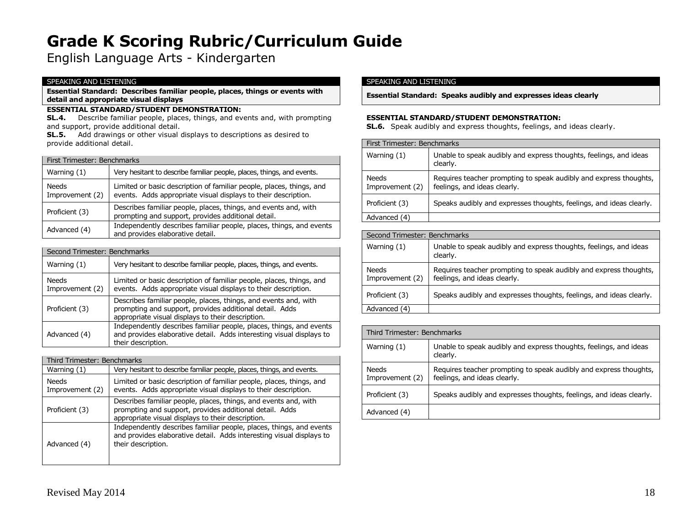English Language Arts - Kindergarten

#### SPEAKING AND LISTENING

**Essential Standard: Describes familiar people, places, things or events with detail and appropriate visual displays**

# **ESSENTIAL STANDARD/STUDENT DEMONSTRATION:**

**SL.4.** Describe familiar people, places, things, and events and, with prompting and support, provide additional detail.

**SL.5.** Add drawings or other visual displays to descriptions as desired to provide additional detail.

| First Trimester: Benchmarks     |                                                                                                                                        |
|---------------------------------|----------------------------------------------------------------------------------------------------------------------------------------|
| Warning $(1)$                   | Very hesitant to describe familiar people, places, things, and events.                                                                 |
| <b>Needs</b><br>Improvement (2) | Limited or basic description of familiar people, places, things, and<br>events. Adds appropriate visual displays to their description. |
| Proficient (3)                  | Describes familiar people, places, things, and events and, with<br>prompting and support, provides additional detail.                  |
| Advanced (4)                    | Independently describes familiar people, places, things, and events<br>and provides elaborative detail.                                |

| Second Trimester: Benchmarks |                                                                                                                                                                                 |
|------------------------------|---------------------------------------------------------------------------------------------------------------------------------------------------------------------------------|
| Warning $(1)$                | Very hesitant to describe familiar people, places, things, and events.                                                                                                          |
| Needs<br>Improvement (2)     | Limited or basic description of familiar people, places, things, and<br>events. Adds appropriate visual displays to their description.                                          |
| Proficient (3)               | Describes familiar people, places, things, and events and, with<br>prompting and support, provides additional detail. Adds<br>appropriate visual displays to their description. |
| Advanced (4)                 | Independently describes familiar people, places, things, and events<br>and provides elaborative detail. Adds interesting visual displays to<br>their description.               |

| Third Trimester: Benchmarks |                                                                                                                                                                                 |
|-----------------------------|---------------------------------------------------------------------------------------------------------------------------------------------------------------------------------|
| Warning $(1)$               | Very hesitant to describe familiar people, places, things, and events.                                                                                                          |
| Needs<br>Improvement (2)    | Limited or basic description of familiar people, places, things, and<br>events. Adds appropriate visual displays to their description.                                          |
| Proficient (3)              | Describes familiar people, places, things, and events and, with<br>prompting and support, provides additional detail. Adds<br>appropriate visual displays to their description. |
| Advanced (4)                | Independently describes familiar people, places, things, and events<br>and provides elaborative detail. Adds interesting visual displays to<br>their description.               |

### SPEAKING AND LISTENING

**Essential Standard: Speaks audibly and expresses ideas clearly**

#### **ESSENTIAL STANDARD/STUDENT DEMONSTRATION:**

**SL.6.** Speak audibly and express thoughts, feelings, and ideas clearly.

| First Trimester: Benchmarks |                                                                                                   |
|-----------------------------|---------------------------------------------------------------------------------------------------|
| Warning $(1)$               | Unable to speak audibly and express thoughts, feelings, and ideas<br>clearly.                     |
| Needs<br>Improvement (2)    | Requires teacher prompting to speak audibly and express thoughts,<br>feelings, and ideas clearly. |
| Proficient (3)              | Speaks audibly and expresses thoughts, feelings, and ideas clearly.                               |
| Advanced (4)                |                                                                                                   |

| Second Trimester: Benchmarks    |                                                                                                   |
|---------------------------------|---------------------------------------------------------------------------------------------------|
| Warning $(1)$                   | Unable to speak audibly and express thoughts, feelings, and ideas<br>clearly.                     |
| <b>Needs</b><br>Improvement (2) | Requires teacher prompting to speak audibly and express thoughts,<br>feelings, and ideas clearly. |
| Proficient (3)                  | Speaks audibly and expresses thoughts, feelings, and ideas clearly.                               |
| Advanced (4)                    |                                                                                                   |

| Third Trimester: Benchmarks     |                                                                                                   |
|---------------------------------|---------------------------------------------------------------------------------------------------|
| Warning $(1)$                   | Unable to speak audibly and express thoughts, feelings, and ideas<br>clearly.                     |
| <b>Needs</b><br>Improvement (2) | Requires teacher prompting to speak audibly and express thoughts,<br>feelings, and ideas clearly. |
| Proficient (3)                  | Speaks audibly and expresses thoughts, feelings, and ideas clearly.                               |
| Advanced (4)                    |                                                                                                   |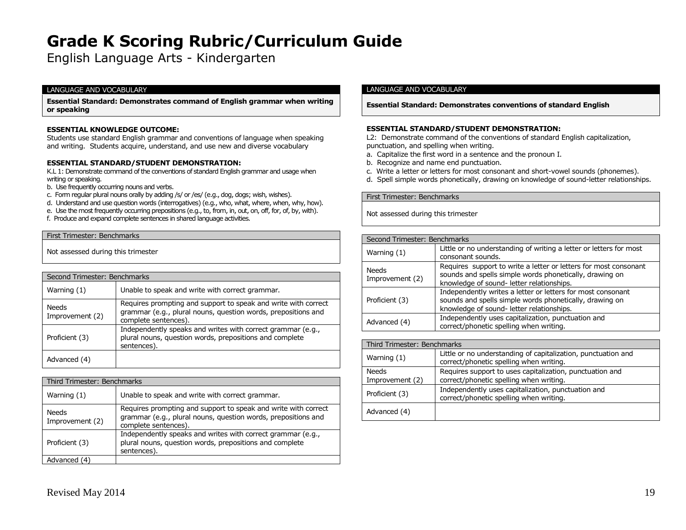English Language Arts - Kindergarten

#### LANGUAGE AND VOCABULARY

**Essential Standard: Demonstrates command of English grammar when writing or speaking**

#### **ESSENTIAL KNOWLEDGE OUTCOME:**

Students use standard English grammar and conventions of language when speaking and writing. Students acquire, understand, and use new and diverse vocabulary

#### **ESSENTIAL STANDARD/STUDENT DEMONSTRATION:**

K.L 1: Demonstrate command of the conventions of standard English grammar and usage when writing or speaking.

- b. Use frequently occurring nouns and verbs.
- c. Form regular plural nouns orally by adding /s/ or /es/ (e.g., dog, dogs; wish, wishes).
- d. Understand and use question words (interrogatives) (e.g., who, what, where, when, why, how).
- e. Use the most frequently occurring prepositions (e.g., to, from, in, out, on, off, for, of, by, with).
- f. Produce and expand complete sentences in shared language activities.

#### First Trimester: Benchmarks

Not assessed during this trimester

| Second Trimester: Benchmarks |                                                                                                                                                         |
|------------------------------|---------------------------------------------------------------------------------------------------------------------------------------------------------|
| Warning (1)                  | Unable to speak and write with correct grammar.                                                                                                         |
| Needs<br>Improvement (2)     | Requires prompting and support to speak and write with correct<br>grammar (e.g., plural nouns, question words, prepositions and<br>complete sentences). |
| Proficient (3)               | Independently speaks and writes with correct grammar (e.g.,<br>plural nouns, question words, prepositions and complete<br>sentences).                   |
| Advanced (4)                 |                                                                                                                                                         |

| Third Trimester: Benchmarks     |                                                                                                                                                         |
|---------------------------------|---------------------------------------------------------------------------------------------------------------------------------------------------------|
| Warning $(1)$                   | Unable to speak and write with correct grammar.                                                                                                         |
| <b>Needs</b><br>Improvement (2) | Requires prompting and support to speak and write with correct<br>grammar (e.g., plural nouns, question words, prepositions and<br>complete sentences). |
| Proficient (3)                  | Independently speaks and writes with correct grammar (e.g.,<br>plural nouns, question words, prepositions and complete<br>sentences).                   |
| Advanced (4)                    |                                                                                                                                                         |

#### LANGUAGE AND VOCABULARY

#### **Essential Standard: Demonstrates conventions of standard English**

#### **ESSENTIAL STANDARD/STUDENT DEMONSTRATION:**

L2: Demonstrate command of the conventions of standard English capitalization, punctuation, and spelling when writing.

- a. Capitalize the first word in a sentence and the pronoun I.
- b. Recognize and name end punctuation.
- c. Write a letter or letters for most consonant and short-vowel sounds (phonemes).
- d. Spell simple words phonetically, drawing on knowledge of sound-letter relationships.

First Trimester: Benchmarks

| Second Trimester: Benchmarks |                                                                                                                                                                          |
|------------------------------|--------------------------------------------------------------------------------------------------------------------------------------------------------------------------|
| Warning (1)                  | Little or no understanding of writing a letter or letters for most<br>consonant sounds.                                                                                  |
| Needs<br>Improvement (2)     | Requires support to write a letter or letters for most consonant<br>sounds and spells simple words phonetically, drawing on<br>knowledge of sound- letter relationships. |
| Proficient (3)               | Independently writes a letter or letters for most consonant<br>sounds and spells simple words phonetically, drawing on<br>knowledge of sound- letter relationships.      |
| Advanced (4)                 | Independently uses capitalization, punctuation and<br>correct/phonetic spelling when writing.                                                                            |

| Third Trimester: Benchmarks     |                                                                                                          |  |
|---------------------------------|----------------------------------------------------------------------------------------------------------|--|
| Warning $(1)$                   | Little or no understanding of capitalization, punctuation and<br>correct/phonetic spelling when writing. |  |
| <b>Needs</b><br>Improvement (2) | Requires support to uses capitalization, punctuation and<br>correct/phonetic spelling when writing.      |  |
| Proficient (3)                  | Independently uses capitalization, punctuation and<br>correct/phonetic spelling when writing.            |  |
| Advanced (4)                    |                                                                                                          |  |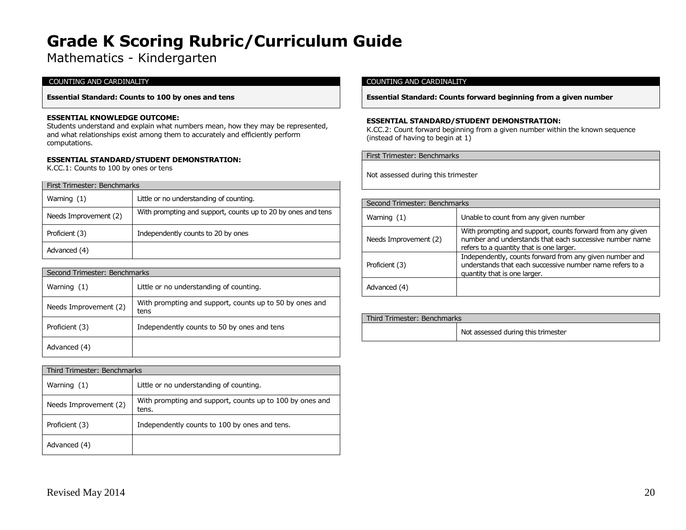Mathematics - Kindergarten

# COUNTING AND CARDINALITY

**Essential Standard: Counts to 100 by ones and tens**

#### **ESSENTIAL KNOWLEDGE OUTCOME:**

Students understand and explain what numbers mean, how they may be represented, and what relationships exist among them to accurately and efficiently perform computations.

#### **ESSENTIAL STANDARD/STUDENT DEMONSTRATION:**

K.CC.1: Counts to 100 by ones or tens

| First Trimester: Benchmarks |                                                              |  |
|-----------------------------|--------------------------------------------------------------|--|
| Warning (1)                 | Little or no understanding of counting.                      |  |
| Needs Improvement (2)       | With prompting and support, counts up to 20 by ones and tens |  |
| Proficient (3)              | Independently counts to 20 by ones                           |  |
| Advanced (4)                |                                                              |  |

| Second Trimester: Benchmarks |                                                                 |
|------------------------------|-----------------------------------------------------------------|
| Warning $(1)$                | Little or no understanding of counting.                         |
| Needs Improvement (2)        | With prompting and support, counts up to 50 by ones and<br>tens |
| Proficient (3)               | Independently counts to 50 by ones and tens                     |
| Advanced (4)                 |                                                                 |

| Third Trimester: Benchmarks |                                                                   |
|-----------------------------|-------------------------------------------------------------------|
| Warning (1)                 | Little or no understanding of counting.                           |
| Needs Improvement (2)       | With prompting and support, counts up to 100 by ones and<br>tens. |
| Proficient (3)              | Independently counts to 100 by ones and tens.                     |
| Advanced (4)                |                                                                   |

### COUNTING AND CARDINALITY

**Essential Standard: Counts forward beginning from a given number**

### **ESSENTIAL STANDARD/STUDENT DEMONSTRATION:**

K.CC.2: Count forward beginning from a given number within the known sequence (instead of having to begin at 1)

First Trimester: Benchmarks

| Second Trimester: Benchmarks |                                                                                                                                                                  |
|------------------------------|------------------------------------------------------------------------------------------------------------------------------------------------------------------|
| Warning $(1)$                | Unable to count from any given number                                                                                                                            |
| Needs Improvement (2)        | With prompting and support, counts forward from any given<br>number and understands that each successive number name<br>refers to a quantity that is one larger. |
| Proficient (3)               | Independently, counts forward from any given number and<br>understands that each successive number name refers to a<br>quantity that is one larger.              |
| Advanced (4)                 |                                                                                                                                                                  |

| Third Trimester: Benchmarks |                                    |
|-----------------------------|------------------------------------|
|                             | Not assessed during this trimester |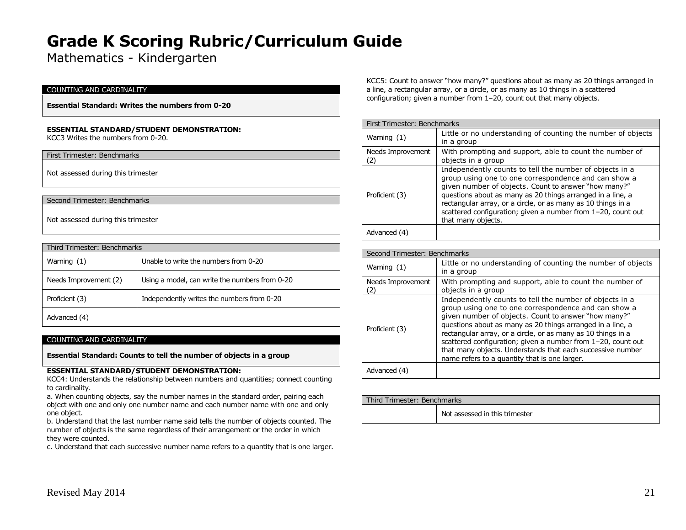Mathematics - Kindergarten

#### COUNTING AND CARDINALITY

**Essential Standard: Writes the numbers from 0-20**

#### **ESSENTIAL STANDARD/STUDENT DEMONSTRATION:**

KCC3 Writes the numbers from 0-20.

#### First Trimester: Benchmarks

Not assessed during this trimester

#### Second Trimester: Benchmarks

Not assessed during this trimester

| Third Trimester: Benchmarks |                                                |  |
|-----------------------------|------------------------------------------------|--|
| Warning (1)                 | Unable to write the numbers from 0-20          |  |
| Needs Improvement (2)       | Using a model, can write the numbers from 0-20 |  |
| Proficient (3)              | Independently writes the numbers from 0-20     |  |
| Advanced (4)                |                                                |  |

#### COUNTING AND CARDINALITY

**Essential Standard: Counts to tell the number of objects in a group**

#### **ESSENTIAL STANDARD/STUDENT DEMONSTRATION:**

KCC4: Understands the relationship between numbers and quantities; connect counting to cardinality.

a. When counting objects, say the number names in the standard order, pairing each object with one and only one number name and each number name with one and only one object.

b. Understand that the last number name said tells the number of objects counted. The number of objects is the same regardless of their arrangement or the order in which they were counted.

c. Understand that each successive number name refers to a quantity that is one larger.

KCC5: Count to answer "how many?" questions about as many as 20 things arranged in a line, a rectangular array, or a circle, or as many as 10 things in a scattered configuration; given a number from 1–20, count out that many objects.

| First Trimester: Benchmarks |                                                                                                                                                                                                                                                                                                                                                                                             |
|-----------------------------|---------------------------------------------------------------------------------------------------------------------------------------------------------------------------------------------------------------------------------------------------------------------------------------------------------------------------------------------------------------------------------------------|
| Warning (1)                 | Little or no understanding of counting the number of objects<br>in a group                                                                                                                                                                                                                                                                                                                  |
| Needs Improvement<br>(2)    | With prompting and support, able to count the number of<br>objects in a group                                                                                                                                                                                                                                                                                                               |
| Proficient (3)              | Independently counts to tell the number of objects in a<br>group using one to one correspondence and can show a<br>given number of objects. Count to answer "how many?"<br>questions about as many as 20 things arranged in a line, a<br>rectangular array, or a circle, or as many as 10 things in a<br>scattered configuration; given a number from 1-20, count out<br>that many objects. |
| Advanced (4)                |                                                                                                                                                                                                                                                                                                                                                                                             |

| Second Trimester: Benchmarks |                                                                                                                                                                                                                                                                                                                                                                                                                                                                                      |
|------------------------------|--------------------------------------------------------------------------------------------------------------------------------------------------------------------------------------------------------------------------------------------------------------------------------------------------------------------------------------------------------------------------------------------------------------------------------------------------------------------------------------|
| Warning $(1)$                | Little or no understanding of counting the number of objects<br>in a group                                                                                                                                                                                                                                                                                                                                                                                                           |
| Needs Improvement<br>(2)     | With prompting and support, able to count the number of<br>objects in a group                                                                                                                                                                                                                                                                                                                                                                                                        |
| Proficient (3)               | Independently counts to tell the number of objects in a<br>group using one to one correspondence and can show a<br>given number of objects. Count to answer "how many?"<br>questions about as many as 20 things arranged in a line, a<br>rectangular array, or a circle, or as many as 10 things in a<br>scattered configuration; given a number from 1-20, count out<br>that many objects. Understands that each successive number<br>name refers to a quantity that is one larger. |
| Advanced (4)                 |                                                                                                                                                                                                                                                                                                                                                                                                                                                                                      |

| Third Trimester: Benchmarks |                                |  |
|-----------------------------|--------------------------------|--|
|                             | Not assessed in this trimester |  |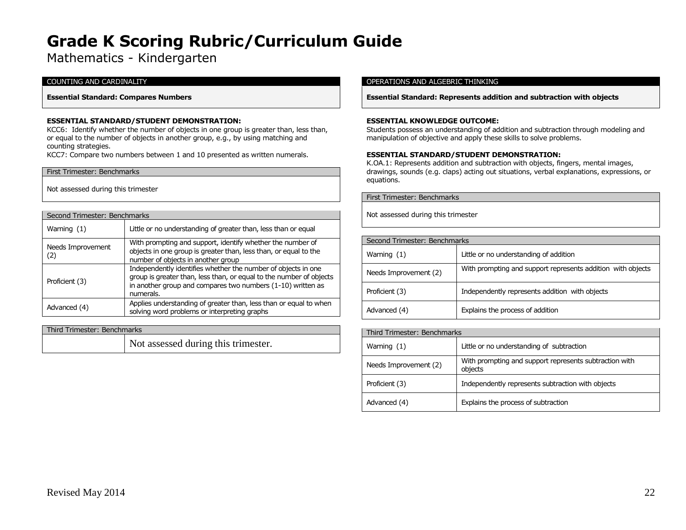Mathematics - Kindergarten

### COUNTING AND CARDINALITY

#### **Essential Standard: Compares Numbers**

### **ESSENTIAL STANDARD/STUDENT DEMONSTRATION:**

KCC6: Identify whether the number of objects in one group is greater than, less than, or equal to the number of objects in another group, e.g., by using matching and counting strategies.

KCC7: Compare two numbers between 1 and 10 presented as written numerals.

#### First Trimester: Benchmarks

Not assessed during this trimester

| Second Trimester: Benchmarks |                                                                                                                                                                                                                  |
|------------------------------|------------------------------------------------------------------------------------------------------------------------------------------------------------------------------------------------------------------|
| Warning $(1)$                | Little or no understanding of greater than, less than or equal                                                                                                                                                   |
| Needs Improvement<br>(2)     | With prompting and support, identify whether the number of<br>objects in one group is greater than, less than, or equal to the<br>number of objects in another group                                             |
| Proficient (3)               | Independently identifies whether the number of objects in one<br>group is greater than, less than, or equal to the number of objects<br>in another group and compares two numbers (1-10) written as<br>numerals. |
| Advanced (4)                 | Applies understanding of greater than, less than or equal to when<br>solving word problems or interpreting graphs                                                                                                |

# Third Trimester: Benchmarks

Not assessed during this trimester.

#### OPERATIONS AND ALGEBRIC THINKING

**Essential Standard: Represents addition and subtraction with objects**

#### **ESSENTIAL KNOWLEDGE OUTCOME:**

Students possess an understanding of addition and subtraction through modeling and manipulation of objective and apply these skills to solve problems.

#### **ESSENTIAL STANDARD/STUDENT DEMONSTRATION:**

K.OA.1: Represents addition and subtraction with objects, fingers, mental images, drawings, sounds (e.g. claps) acting out situations, verbal explanations, expressions, or equations.

First Trimester: Benchmarks

| Second Trimester: Benchmarks |                                                             |
|------------------------------|-------------------------------------------------------------|
| Warning $(1)$                | Little or no understanding of addition                      |
| Needs Improvement (2)        | With prompting and support represents addition with objects |
| Proficient (3)               | Independently represents addition with objects              |
| Advanced (4)                 | Explains the process of addition                            |

| Third Trimester: Benchmarks |                                                                   |
|-----------------------------|-------------------------------------------------------------------|
| Warning (1)                 | Little or no understanding of subtraction                         |
| Needs Improvement (2)       | With prompting and support represents subtraction with<br>objects |
| Proficient (3)              | Independently represents subtraction with objects                 |
| Advanced (4)                | Explains the process of subtraction                               |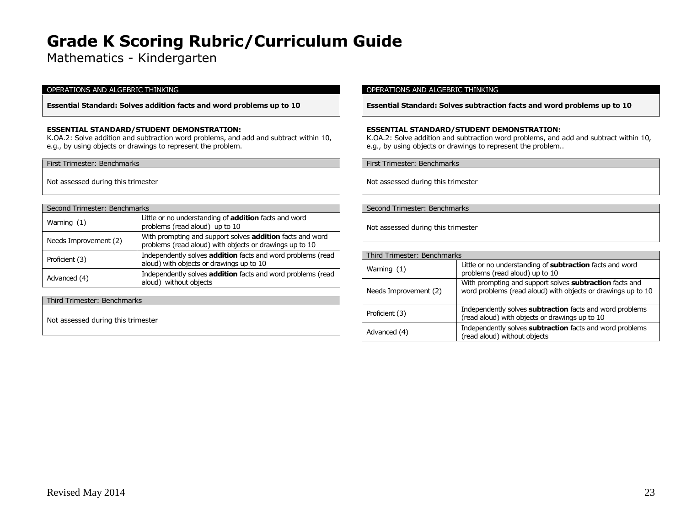Mathematics - Kindergarten

#### OPERATIONS AND ALGEBRIC THINKING

**Essential Standard: Solves addition facts and word problems up to 10**

### **ESSENTIAL STANDARD/STUDENT DEMONSTRATION:**

K.OA.2: Solve addition and subtraction word problems, and add and subtract within 10, e.g., by using objects or drawings to represent the problem.

First Trimester: Benchmarks

Not assessed during this trimester

| Second Trimester: Benchmarks |                                                                                                                      |
|------------------------------|----------------------------------------------------------------------------------------------------------------------|
| Warning $(1)$                | Little or no understanding of <b>addition</b> facts and word<br>problems (read aloud) up to 10                       |
| Needs Improvement (2)        | With prompting and support solves addition facts and word<br>problems (read aloud) with objects or drawings up to 10 |
| Proficient (3)               | Independently solves addition facts and word problems (read<br>aloud) with objects or drawings up to 10              |
| Advanced (4)                 | Independently solves addition facts and word problems (read<br>aloud) without objects                                |

Third Trimester: Benchmarks

Not assessed during this trimester

#### OPERATIONS AND ALGEBRIC THINKING

**Essential Standard: Solves subtraction facts and word problems up to 10**

### **ESSENTIAL STANDARD/STUDENT DEMONSTRATION:**

K.OA.2: Solve addition and subtraction word problems, and add and subtract within 10, e.g., by using objects or drawings to represent the problem..

First Trimester: Benchmarks

Not assessed during this trimester

Second Trimester: Benchmarks

| Third Trimester: Benchmarks |                                                                                                                         |
|-----------------------------|-------------------------------------------------------------------------------------------------------------------------|
| Warning $(1)$               | Little or no understanding of subtraction facts and word<br>problems (read aloud) up to 10                              |
| Needs Improvement (2)       | With prompting and support solves subtraction facts and<br>word problems (read aloud) with objects or drawings up to 10 |
| Proficient (3)              | Independently solves subtraction facts and word problems<br>(read aloud) with objects or drawings up to 10              |
| Advanced (4)                | Independently solves subtraction facts and word problems<br>(read aloud) without objects                                |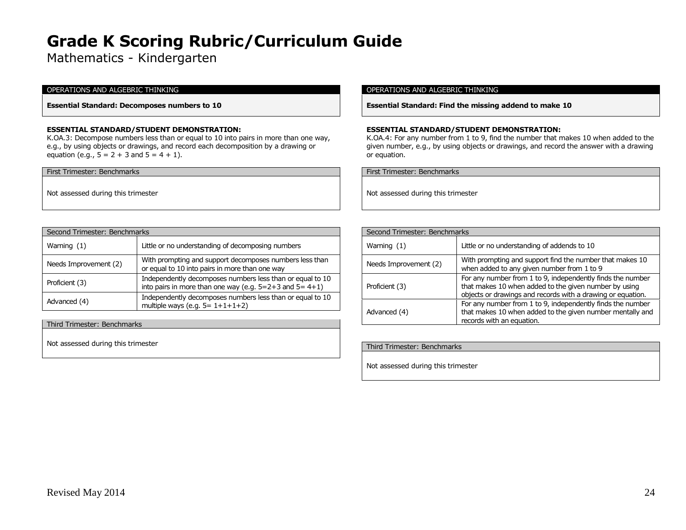Mathematics - Kindergarten

### OPERATIONS AND ALGEBRIC THINKING

**Essential Standard: Decomposes numbers to 10**

#### **ESSENTIAL STANDARD/STUDENT DEMONSTRATION:**

K.OA.3: Decompose numbers less than or equal to 10 into pairs in more than one way, e.g., by using objects or drawings, and record each decomposition by a drawing or equation (e.g.,  $5 = 2 + 3$  and  $5 = 4 + 1$ ).

First Trimester: Benchmarks

Not assessed during this trimester

| Second Trimester: Benchmarks |                                                                                                                          |
|------------------------------|--------------------------------------------------------------------------------------------------------------------------|
| Warning $(1)$                | Little or no understanding of decomposing numbers                                                                        |
| Needs Improvement (2)        | With prompting and support decomposes numbers less than<br>or equal to 10 into pairs in more than one way                |
| Proficient (3)               | Independently decomposes numbers less than or equal to 10<br>into pairs in more than one way (e.g. $5=2+3$ and $5=4+1$ ) |
| Advanced (4)                 | Independently decomposes numbers less than or equal to 10<br>multiple ways (e.g. $5 = 1 + 1 + 1 + 2$ )                   |

Third Trimester: Benchmarks

Not assessed during this trimester

#### OPERATIONS AND ALGEBRIC THINKING

**Essential Standard: Find the missing addend to make 10**

#### **ESSENTIAL STANDARD/STUDENT DEMONSTRATION:**

K.OA.4: For any number from 1 to 9, find the number that makes 10 when added to the given number, e.g., by using objects or drawings, and record the answer with a drawing or equation.

First Trimester: Benchmarks

| Second Trimester: Benchmarks |                                                                                                                                                                                    |
|------------------------------|------------------------------------------------------------------------------------------------------------------------------------------------------------------------------------|
| Warning (1)                  | Little or no understanding of addends to 10                                                                                                                                        |
| Needs Improvement (2)        | With prompting and support find the number that makes 10<br>when added to any given number from 1 to 9                                                                             |
| Proficient (3)               | For any number from 1 to 9, independently finds the number<br>that makes 10 when added to the given number by using<br>objects or drawings and records with a drawing or equation. |
| Advanced (4)                 | For any number from 1 to 9, independently finds the number<br>that makes 10 when added to the given number mentally and<br>records with an equation.                               |

| Third Trimester: Benchmarks        |  |
|------------------------------------|--|
|                                    |  |
|                                    |  |
| Not assessed during this trimester |  |
|                                    |  |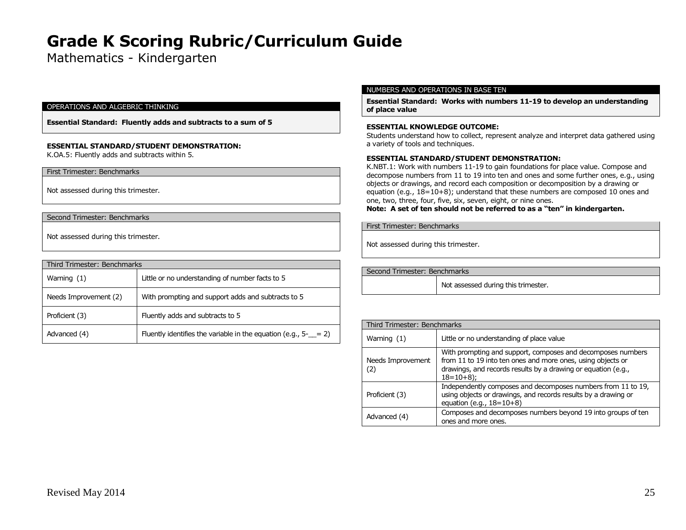Mathematics - Kindergarten

#### OPERATIONS AND ALGEBRIC THINKING

**Essential Standard: Fluently adds and subtracts to a sum of 5**

#### **ESSENTIAL STANDARD/STUDENT DEMONSTRATION:**

K.OA.5: Fluently adds and subtracts within 5.

First Trimester: Benchmarks

Not assessed during this trimester.

Second Trimester: Benchmarks

Not assessed during this trimester.

| Third Trimester: Benchmarks |                                                                   |
|-----------------------------|-------------------------------------------------------------------|
| Warning $(1)$               | Little or no understanding of number facts to 5                   |
| Needs Improvement (2)       | With prompting and support adds and subtracts to 5                |
| Proficient (3)              | Fluently adds and subtracts to 5                                  |
| Advanced (4)                | Fluently identifies the variable in the equation (e.g., $5 - 2$ ) |

#### NUMBERS AND OPERATIONS IN BASE TEN

**Essential Standard: Works with numbers 11-19 to develop an understanding of place value**

#### **ESSENTIAL KNOWLEDGE OUTCOME:**

Students understand how to collect, represent analyze and interpret data gathered using a variety of tools and techniques.

# **ESSENTIAL STANDARD/STUDENT DEMONSTRATION:**

K.NBT.1: Work with numbers 11-19 to gain foundations for place value. Compose and decompose numbers from 11 to 19 into ten and ones and some further ones, e.g., using objects or drawings, and record each composition or decomposition by a drawing or equation (e.g.,  $18=10+8$ ); understand that these numbers are composed 10 ones and one, two, three, four, five, six, seven, eight, or nine ones.

**Note: A set of ten should not be referred to as a "ten" in kindergarten.**

First Trimester: Benchmarks

Not assessed during this trimester.

Second Trimester: Benchmarks Not assessed during this trimester.

| Third Trimester: Benchmarks |                                                                                                                                                                                                            |
|-----------------------------|------------------------------------------------------------------------------------------------------------------------------------------------------------------------------------------------------------|
| Warning (1)                 | Little or no understanding of place value                                                                                                                                                                  |
| Needs Improvement<br>(2)    | With prompting and support, composes and decomposes numbers<br>from 11 to 19 into ten ones and more ones, using objects or<br>drawings, and records results by a drawing or equation (e.g.,<br>$18=10+8$ ; |
| Proficient (3)              | Independently composes and decomposes numbers from 11 to 19,<br>using objects or drawings, and records results by a drawing or<br>equation (e.g., $18=10+8$ )                                              |
| Advanced (4)                | Composes and decomposes numbers beyond 19 into groups of ten<br>ones and more ones.                                                                                                                        |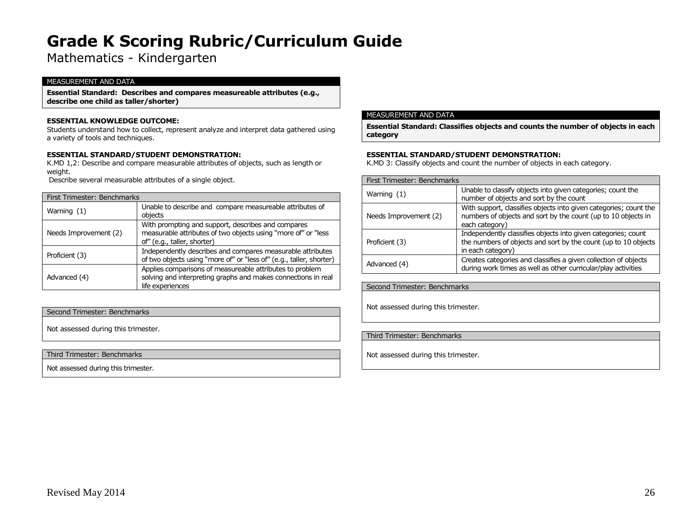# Mathematics - Kindergarten

#### MEASUREMENT AND DATA

**Essential Standard: Describes and compares measureable attributes (e.g., describe one child as taller/shorter)**

#### **ESSENTIAL KNOWLEDGE OUTCOME:**

Students understand how to collect, represent analyze and interpret data gathered using a variety of tools and techniques.

#### **ESSENTIAL STANDARD/STUDENT DEMONSTRATION:**

K.MD 1,2: Describe and compare measurable attributes of objects, such as length or weight.

Describe several measurable attributes of a single object.

| First Trimester: Benchmarks |                                                                                                                                                    |
|-----------------------------|----------------------------------------------------------------------------------------------------------------------------------------------------|
| Warning $(1)$               | Unable to describe and compare measureable attributes of<br>objects                                                                                |
| Needs Improvement (2)       | With prompting and support, describes and compares<br>measurable attributes of two objects using "more of" or "less<br>of" (e.g., taller, shorter) |
| Proficient (3)              | Independently describes and compares measurable attributes<br>of two objects using "more of" or "less of" (e.g., taller, shorter)                  |
| Advanced (4)                | Applies comparisons of measureable attributes to problem<br>solving and interpreting graphs and makes connections in real<br>life experiences      |

#### Second Trimester: Benchmarks

Not assessed during this trimester.

#### Third Trimester: Benchmarks

Not assessed during this trimester.

#### MEASUREMENT AND DATA

**Essential Standard: Classifies objects and counts the number of objects in each category**

#### **ESSENTIAL STANDARD/STUDENT DEMONSTRATION:**

K.MD 3: Classify objects and count the number of objects in each category.

| First Trimester: Benchmarks |                                                                                                                                                      |
|-----------------------------|------------------------------------------------------------------------------------------------------------------------------------------------------|
| Warning $(1)$               | Unable to classify objects into given categories; count the<br>number of objects and sort by the count                                               |
| Needs Improvement (2)       | With support, classifies objects into given categories; count the<br>numbers of objects and sort by the count (up to 10 objects in<br>each category) |
| Proficient (3)              | Independently classifies objects into given categories; count<br>the numbers of objects and sort by the count (up to 10 objects<br>in each category) |
| Advanced (4)                | Creates categories and classifies a given collection of objects<br>during work times as well as other curricular/play activities                     |

### Second Trimester: Benchmarks

Not assessed during this trimester.

#### Third Trimester: Benchmarks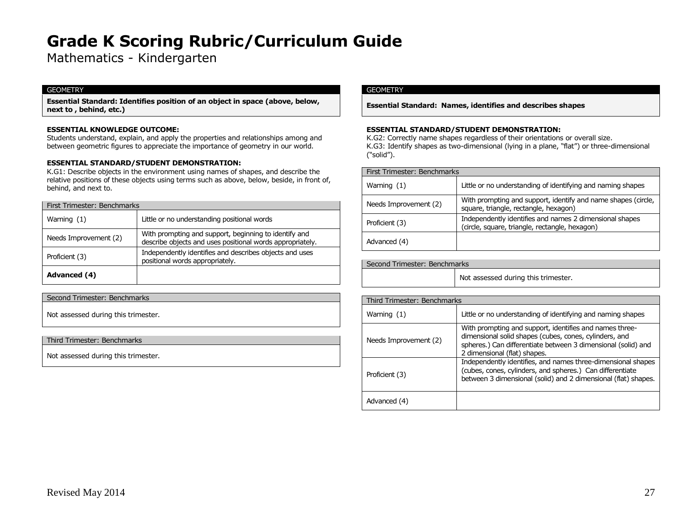Mathematics - Kindergarten

# **GEOMETRY**

**Essential Standard: Identifies position of an object in space (above, below, next to , behind, etc.)**

# **ESSENTIAL KNOWLEDGE OUTCOME:**

Students understand, explain, and apply the properties and relationships among and between geometric figures to appreciate the importance of geometry in our world.

# **ESSENTIAL STANDARD/STUDENT DEMONSTRATION:**

K.G1: Describe objects in the environment using names of shapes, and describe the relative positions of these objects using terms such as above, below, beside, in front of, behind, and next to.

| First Trimester: Benchmarks |                                                                                                                    |
|-----------------------------|--------------------------------------------------------------------------------------------------------------------|
| Warning $(1)$               | Little or no understanding positional words                                                                        |
| Needs Improvement (2)       | With prompting and support, beginning to identify and<br>describe objects and uses positional words appropriately. |
| Proficient (3)              | Independently identifies and describes objects and uses<br>positional words appropriately.                         |
| Advanced (4)                |                                                                                                                    |

Second Trimester: Benchmarks

Not assessed during this trimester.

Third Trimester: Benchmarks

Not assessed during this trimester.

# GEOMETRY

**Essential Standard: Names, identifies and describes shapes**

#### **ESSENTIAL STANDARD/STUDENT DEMONSTRATION:**

K.G2: Correctly name shapes regardless of their orientations or overall size. K.G3: Identify shapes as two-dimensional (lying in a plane, "flat") or three-dimensional ("solid").

| First Trimester: Benchmarks |                                                                                                           |
|-----------------------------|-----------------------------------------------------------------------------------------------------------|
| Warning $(1)$               | Little or no understanding of identifying and naming shapes                                               |
| Needs Improvement (2)       | With prompting and support, identify and name shapes (circle,<br>square, triangle, rectangle, hexagon)    |
| Proficient (3)              | Independently identifies and names 2 dimensional shapes<br>(circle, square, triangle, rectangle, hexagon) |
| Advanced (4)                |                                                                                                           |

| Second Trimester: Benchmarks |                                     |
|------------------------------|-------------------------------------|
|                              | Not assessed during this trimester. |

| Third Trimester: Benchmarks |                                                                                                                                                                                                                    |
|-----------------------------|--------------------------------------------------------------------------------------------------------------------------------------------------------------------------------------------------------------------|
| Warning $(1)$               | Little or no understanding of identifying and naming shapes                                                                                                                                                        |
| Needs Improvement (2)       | With prompting and support, identifies and names three-<br>dimensional solid shapes (cubes, cones, cylinders, and<br>spheres.) Can differentiate between 3 dimensional (solid) and<br>2 dimensional (flat) shapes. |
| Proficient (3)              | Independently identifies, and names three-dimensional shapes<br>(cubes, cones, cylinders, and spheres.) Can differentiate<br>between 3 dimensional (solid) and 2 dimensional (flat) shapes.                        |
| Advanced (4)                |                                                                                                                                                                                                                    |